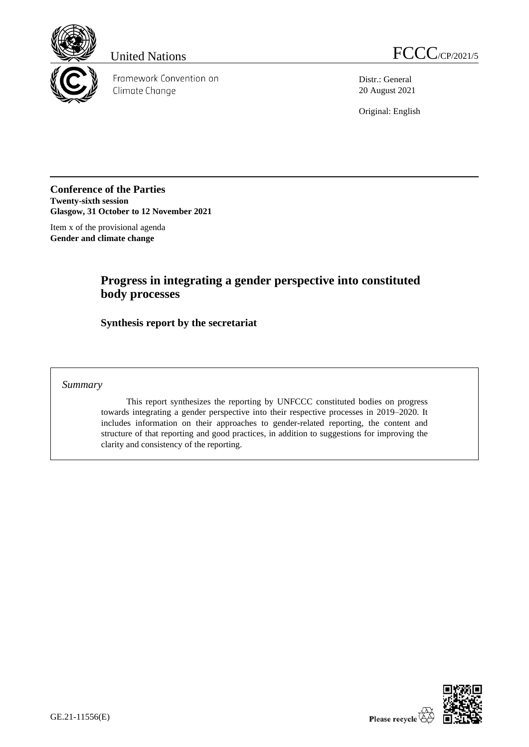

Framework Convention on Climate Change

United Nations FCCC/CP/2021/5

Distr.: General 20 August 2021

Original: English

**Conference of the Parties Twenty-sixth session Glasgow, 31 October to 12 November 2021**

Item x of the provisional agenda **Gender and climate change** 

## **Progress in integrating a gender perspective into constituted body processes**

**Synthesis report by the secretariat**

## *Summary*

This report synthesizes the reporting by UNFCCC constituted bodies on progress towards integrating a gender perspective into their respective processes in 2019–2020. It includes information on their approaches to gender-related reporting, the content and structure of that reporting and good practices, in addition to suggestions for improving the clarity and consistency of the reporting.

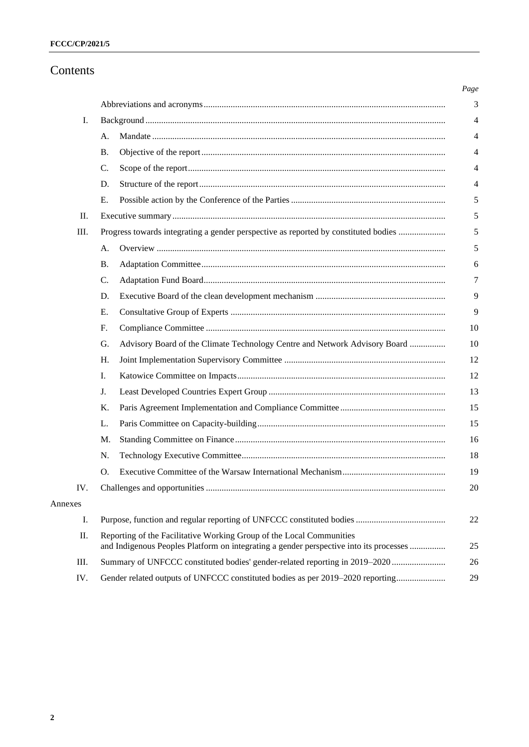## Contents

| I.      |                                                                                                                                                                |  |  |  |  |  |  |
|---------|----------------------------------------------------------------------------------------------------------------------------------------------------------------|--|--|--|--|--|--|
|         | А.                                                                                                                                                             |  |  |  |  |  |  |
|         | <b>B.</b>                                                                                                                                                      |  |  |  |  |  |  |
|         | C.                                                                                                                                                             |  |  |  |  |  |  |
|         | D.                                                                                                                                                             |  |  |  |  |  |  |
|         | Е.                                                                                                                                                             |  |  |  |  |  |  |
| Π.      |                                                                                                                                                                |  |  |  |  |  |  |
| Ш.      | Progress towards integrating a gender perspective as reported by constituted bodies                                                                            |  |  |  |  |  |  |
|         | А.                                                                                                                                                             |  |  |  |  |  |  |
|         | <b>B.</b>                                                                                                                                                      |  |  |  |  |  |  |
|         | $\mathcal{C}$ .                                                                                                                                                |  |  |  |  |  |  |
|         | D.                                                                                                                                                             |  |  |  |  |  |  |
|         | Ε.                                                                                                                                                             |  |  |  |  |  |  |
|         | F.                                                                                                                                                             |  |  |  |  |  |  |
|         | G.<br>Advisory Board of the Climate Technology Centre and Network Advisory Board                                                                               |  |  |  |  |  |  |
|         | H.                                                                                                                                                             |  |  |  |  |  |  |
|         | L.                                                                                                                                                             |  |  |  |  |  |  |
|         | J.                                                                                                                                                             |  |  |  |  |  |  |
|         | K.                                                                                                                                                             |  |  |  |  |  |  |
|         | L.                                                                                                                                                             |  |  |  |  |  |  |
|         | М.                                                                                                                                                             |  |  |  |  |  |  |
|         | N.                                                                                                                                                             |  |  |  |  |  |  |
|         | Ο.                                                                                                                                                             |  |  |  |  |  |  |
| IV.     |                                                                                                                                                                |  |  |  |  |  |  |
| Annexes |                                                                                                                                                                |  |  |  |  |  |  |
| I.      |                                                                                                                                                                |  |  |  |  |  |  |
| Π.      | Reporting of the Facilitative Working Group of the Local Communities<br>and Indigenous Peoples Platform on integrating a gender perspective into its processes |  |  |  |  |  |  |
| III.    | Summary of UNFCCC constituted bodies' gender-related reporting in 2019–2020                                                                                    |  |  |  |  |  |  |
| IV.     | Gender related outputs of UNFCCC constituted bodies as per 2019–2020 reporting                                                                                 |  |  |  |  |  |  |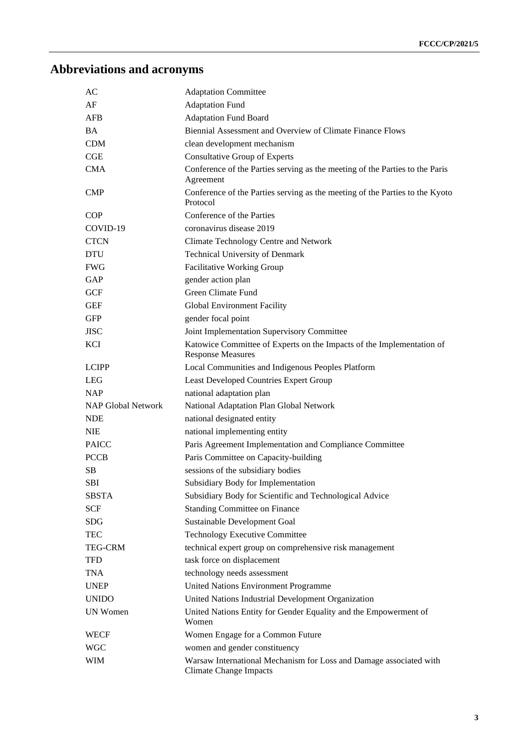# **Abbreviations and acronyms**

| AC                        | <b>Adaptation Committee</b>                                                                         |
|---------------------------|-----------------------------------------------------------------------------------------------------|
| AF                        | <b>Adaptation Fund</b>                                                                              |
| AFB                       | <b>Adaptation Fund Board</b>                                                                        |
| BA.                       | Biennial Assessment and Overview of Climate Finance Flows                                           |
| <b>CDM</b>                | clean development mechanism                                                                         |
| CGE                       | Consultative Group of Experts                                                                       |
| <b>CMA</b>                | Conference of the Parties serving as the meeting of the Parties to the Paris<br>Agreement           |
| <b>CMP</b>                | Conference of the Parties serving as the meeting of the Parties to the Kyoto<br>Protocol            |
| <b>COP</b>                | Conference of the Parties                                                                           |
| COVID-19                  | coronavirus disease 2019                                                                            |
| <b>CTCN</b>               | Climate Technology Centre and Network                                                               |
| <b>DTU</b>                | Technical University of Denmark                                                                     |
| <b>FWG</b>                | <b>Facilitative Working Group</b>                                                                   |
| GAP                       | gender action plan                                                                                  |
| <b>GCF</b>                | <b>Green Climate Fund</b>                                                                           |
| <b>GEF</b>                | <b>Global Environment Facility</b>                                                                  |
| <b>GFP</b>                | gender focal point                                                                                  |
| <b>JISC</b>               | Joint Implementation Supervisory Committee                                                          |
| <b>KCI</b>                | Katowice Committee of Experts on the Impacts of the Implementation of<br><b>Response Measures</b>   |
| <b>LCIPP</b>              | Local Communities and Indigenous Peoples Platform                                                   |
| <b>LEG</b>                | Least Developed Countries Expert Group                                                              |
| <b>NAP</b>                | national adaptation plan                                                                            |
| <b>NAP Global Network</b> | National Adaptation Plan Global Network                                                             |
| <b>NDE</b>                | national designated entity                                                                          |
| <b>NIE</b>                | national implementing entity                                                                        |
| <b>PAICC</b>              | Paris Agreement Implementation and Compliance Committee                                             |
| <b>PCCB</b>               | Paris Committee on Capacity-building                                                                |
| SB                        | sessions of the subsidiary bodies                                                                   |
| <b>SBI</b>                | Subsidiary Body for Implementation                                                                  |
| <b>SBSTA</b>              | Subsidiary Body for Scientific and Technological Advice                                             |
| SCF                       | <b>Standing Committee on Finance</b>                                                                |
| SDG                       | Sustainable Development Goal                                                                        |
| TEC                       | <b>Technology Executive Committee</b>                                                               |
| <b>TEG-CRM</b>            | technical expert group on comprehensive risk management                                             |
| <b>TFD</b>                | task force on displacement                                                                          |
| TNA                       | technology needs assessment                                                                         |
| <b>UNEP</b>               | United Nations Environment Programme                                                                |
| <b>UNIDO</b>              | United Nations Industrial Development Organization                                                  |
| UN Women                  | United Nations Entity for Gender Equality and the Empowerment of<br>Women                           |
| WECF                      | Women Engage for a Common Future                                                                    |
| <b>WGC</b>                | women and gender constituency                                                                       |
| WIM                       | Warsaw International Mechanism for Loss and Damage associated with<br><b>Climate Change Impacts</b> |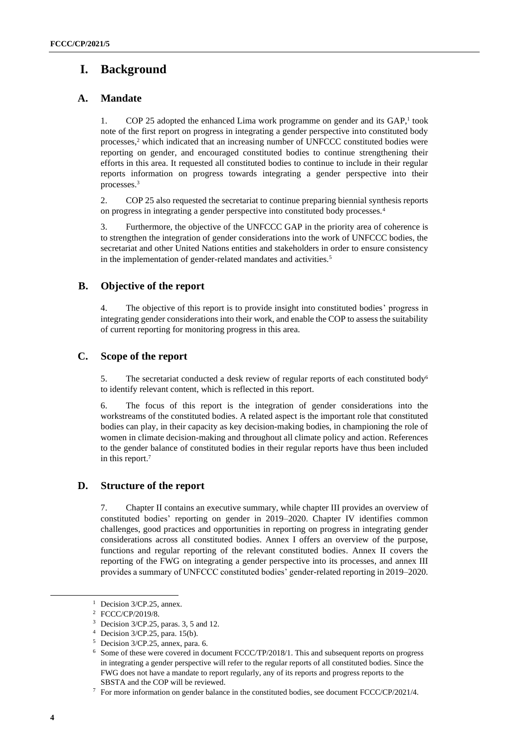## **I. Background**

## **A. Mandate**

1. COP 25 adopted the enhanced Lima work programme on gender and its GAP,<sup>1</sup> took note of the first report on progress in integrating a gender perspective into constituted body processes, <sup>2</sup> which indicated that an increasing number of UNFCCC constituted bodies were reporting on gender, and encouraged constituted bodies to continue strengthening their efforts in this area. It requested all constituted bodies to continue to include in their regular reports information on progress towards integrating a gender perspective into their processes.<sup>3</sup>

2. COP 25 also requested the secretariat to continue preparing biennial synthesis reports on progress in integrating a gender perspective into constituted body processes.<sup>4</sup>

3. Furthermore, the objective of the UNFCCC GAP in the priority area of coherence is to strengthen the integration of gender considerations into the work of UNFCCC bodies, the secretariat and other United Nations entities and stakeholders in order to ensure consistency in the implementation of gender-related mandates and activities.<sup>5</sup>

## **B. Objective of the report**

4. The objective of this report is to provide insight into constituted bodies' progress in integrating gender considerations into their work, and enable the COP to assess the suitability of current reporting for monitoring progress in this area.

## **C. Scope of the report**

5. The secretariat conducted a desk review of regular reports of each constituted body<sup>6</sup> to identify relevant content, which is reflected in this report.

6. The focus of this report is the integration of gender considerations into the workstreams of the constituted bodies. A related aspect is the important role that constituted bodies can play, in their capacity as key decision-making bodies, in championing the role of women in climate decision-making and throughout all climate policy and action. References to the gender balance of constituted bodies in their regular reports have thus been included in this report. 7

## **D. Structure of the report**

7. Chapter II contains an executive summary, while chapter III provides an overview of constituted bodies' reporting on gender in 2019–2020. Chapter IV identifies common challenges, good practices and opportunities in reporting on progress in integrating gender considerations across all constituted bodies. Annex I offers an overview of the purpose, functions and regular reporting of the relevant constituted bodies. Annex II covers the reporting of the FWG on integrating a gender perspective into its processes, and annex III provides a summary of UNFCCC constituted bodies' gender-related reporting in 2019–2020.

<sup>&</sup>lt;sup>1</sup> Decision 3/CP.25, annex.

<sup>2</sup> FCCC/CP/2019/8.

<sup>3</sup> Decision 3/CP.25, paras. 3, 5 and 12.

<sup>4</sup> Decision 3/CP.25, para. 15(b).

<sup>5</sup> Decision 3/CP.25, annex, para. 6.

<sup>6</sup> Some of these were covered in document FCCC/TP/2018/1. This and subsequent reports on progress in integrating a gender perspective will refer to the regular reports of all constituted bodies. Since the FWG does not have a mandate to report regularly, any of its reports and progress reports to the SBSTA and the COP will be reviewed.

<sup>7</sup> For more information on gender balance in the constituted bodies, see document FCCC/CP/2021/4.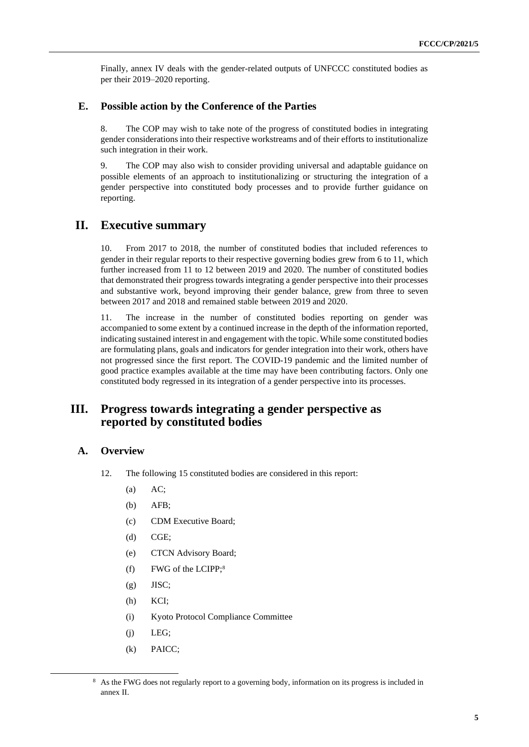Finally, annex IV deals with the gender-related outputs of UNFCCC constituted bodies as per their 2019–2020 reporting.

## **E. Possible action by the Conference of the Parties**

8. The COP may wish to take note of the progress of constituted bodies in integrating gender considerations into their respective workstreams and of their efforts to institutionalize such integration in their work.

9. The COP may also wish to consider providing universal and adaptable guidance on possible elements of an approach to institutionalizing or structuring the integration of a gender perspective into constituted body processes and to provide further guidance on reporting.

## **II. Executive summary**

10. From 2017 to 2018, the number of constituted bodies that included references to gender in their regular reports to their respective governing bodies grew from 6 to 11, which further increased from 11 to 12 between 2019 and 2020. The number of constituted bodies that demonstrated their progress towards integrating a gender perspective into their processes and substantive work, beyond improving their gender balance, grew from three to seven between 2017 and 2018 and remained stable between 2019 and 2020.

11. The increase in the number of constituted bodies reporting on gender was accompanied to some extent by a continued increase in the depth of the information reported, indicating sustained interest in and engagement with the topic. While some constituted bodies are formulating plans, goals and indicators for gender integration into their work, others have not progressed since the first report. The COVID-19 pandemic and the limited number of good practice examples available at the time may have been contributing factors. Only one constituted body regressed in its integration of a gender perspective into its processes.

## **III. Progress towards integrating a gender perspective as reported by constituted bodies**

## **A. Overview**

- 12. The following 15 constituted bodies are considered in this report:
	- $(a)$  AC;
	- (b) AFB;
	- (c) CDM Executive Board;
	- (d) CGE;
	- (e) CTCN Advisory Board;
	- (f) FWG of the LCIPP; 8
	- $(g)$  JISC;
	- (h) KCI;
	- (i) Kyoto Protocol Compliance Committee
	- $(i)$  LEG;
	- (k) PAICC;

<sup>&</sup>lt;sup>8</sup> As the FWG does not regularly report to a governing body, information on its progress is included in annex II.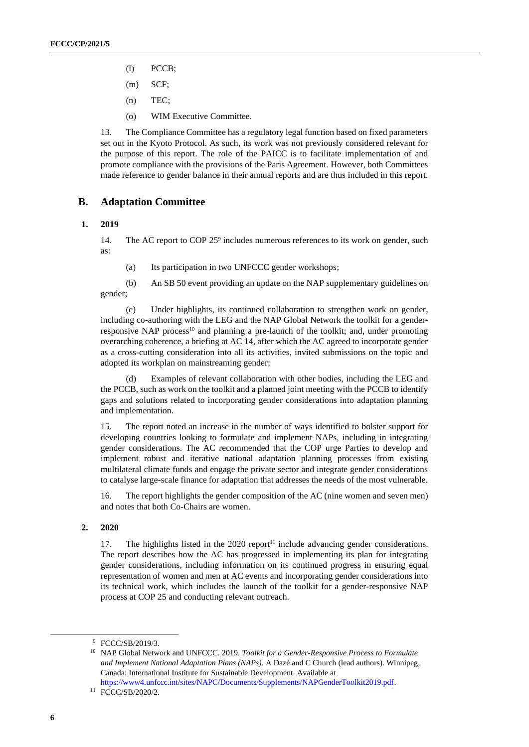- (l) PCCB;
- (m) SCF;
- (n) TEC;
- (o) WIM Executive Committee.

13. The Compliance Committee has a regulatory legal function based on fixed parameters set out in the Kyoto Protocol. As such, its work was not previously considered relevant for the purpose of this report. The role of the PAICC is to facilitate implementation of and promote compliance with the provisions of the Paris Agreement. However, both Committees made reference to gender balance in their annual reports and are thus included in this report.

## **B. Adaptation Committee**

#### **1. 2019**

14. The AC report to COP 25<sup>9</sup> includes numerous references to its work on gender, such as:

(a) Its participation in two UNFCCC gender workshops;

(b) An SB 50 event providing an update on the NAP supplementary guidelines on gender;

(c) Under highlights, its continued collaboration to strengthen work on gender, including co-authoring with the LEG and the NAP Global Network the toolkit for a genderresponsive NAP process<sup>10</sup> and planning a pre-launch of the toolkit; and, under promoting overarching coherence, a briefing at AC 14, after which the AC agreed to incorporate gender as a cross-cutting consideration into all its activities, invited submissions on the topic and adopted its workplan on mainstreaming gender;

(d) Examples of relevant collaboration with other bodies, including the LEG and the PCCB, such as work on the toolkit and a planned joint meeting with the PCCB to identify gaps and solutions related to incorporating gender considerations into adaptation planning and implementation.

15. The report noted an increase in the number of ways identified to bolster support for developing countries looking to formulate and implement NAPs, including in integrating gender considerations. The AC recommended that the COP urge Parties to develop and implement robust and iterative national adaptation planning processes from existing multilateral climate funds and engage the private sector and integrate gender considerations to catalyse large-scale finance for adaptation that addresses the needs of the most vulnerable.

16. The report highlights the gender composition of the AC (nine women and seven men) and notes that both Co-Chairs are women.

#### **2. 2020**

17. The highlights listed in the  $2020$  report<sup>11</sup> include advancing gender considerations. The report describes how the AC has progressed in implementing its plan for integrating gender considerations, including information on its continued progress in ensuring equal representation of women and men at AC events and incorporating gender considerations into its technical work, which includes the launch of the toolkit for a gender-responsive NAP process at COP 25 and conducting relevant outreach.

<sup>9</sup> FCCC/SB/2019/3.

<sup>10</sup> NAP Global Network and UNFCCC. 2019. *Toolkit for a Gender-Responsive Process to Formulate and Implement National Adaptation Plans (NAPs)*. A Dazé and C Church (lead authors). Winnipeg, Canada: International Institute for Sustainable Development. Available at

[https://www4.unfccc.int/sites/NAPC/Documents/Supplements/NAPGenderToolkit2019.pdf.](https://www4.unfccc.int/sites/NAPC/Documents/Supplements/NAPGenderToolkit2019.pdf) <sup>11</sup> FCCC/SB/2020/2.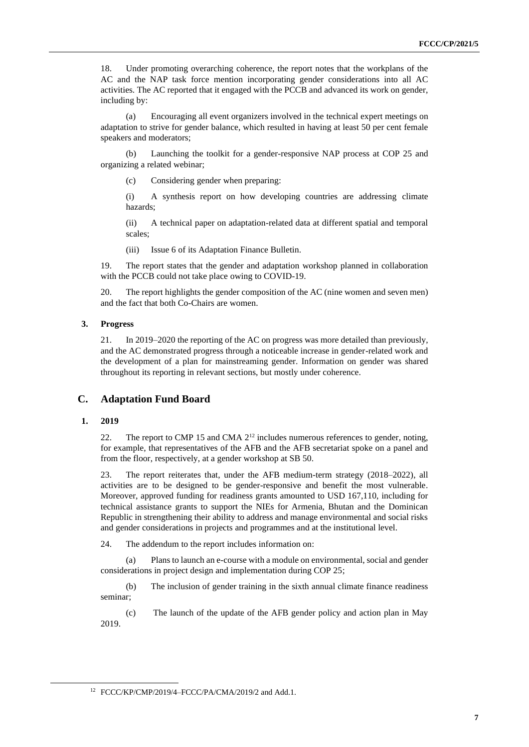18. Under promoting overarching coherence, the report notes that the workplans of the AC and the NAP task force mention incorporating gender considerations into all AC activities. The AC reported that it engaged with the PCCB and advanced its work on gender, including by:

(a) Encouraging all event organizers involved in the technical expert meetings on adaptation to strive for gender balance, which resulted in having at least 50 per cent female speakers and moderators;

(b) Launching the toolkit for a gender-responsive NAP process at COP 25 and organizing a related webinar;

(c) Considering gender when preparing:

(i) A synthesis report on how developing countries are addressing climate hazards;

(ii) A technical paper on adaptation-related data at different spatial and temporal scales;

(iii) Issue 6 of its Adaptation Finance Bulletin.

19. The report states that the gender and adaptation workshop planned in collaboration with the PCCB could not take place owing to COVID-19.

20. The report highlights the gender composition of the AC (nine women and seven men) and the fact that both Co-Chairs are women.

#### **3. Progress**

21. In 2019–2020 the reporting of the AC on progress was more detailed than previously, and the AC demonstrated progress through a noticeable increase in gender-related work and the development of a plan for mainstreaming gender. Information on gender was shared throughout its reporting in relevant sections, but mostly under coherence.

## **C. Adaptation Fund Board**

#### **1. 2019**

22. The report to CMP 15 and CMA 2<sup>12</sup> includes numerous references to gender, noting, for example, that representatives of the AFB and the AFB secretariat spoke on a panel and from the floor, respectively, at a gender workshop at SB 50.

23. The report reiterates that, under the AFB medium-term strategy (2018–2022), all activities are to be designed to be gender-responsive and benefit the most vulnerable. Moreover, approved funding for readiness grants amounted to USD 167,110, including for technical assistance grants to support the NIEs for Armenia, Bhutan and the Dominican Republic in strengthening their ability to address and manage environmental and social risks and gender considerations in projects and programmes and at the institutional level.

24. The addendum to the report includes information on:

(a) Plans to launch an e-course with a module on environmental, social and gender considerations in project design and implementation during COP 25;

(b) The inclusion of gender training in the sixth annual climate finance readiness seminar;

(c) The launch of the update of the AFB gender policy and action plan in May 2019.

<sup>12</sup> FCCC/KP/CMP/2019/4–FCCC/PA/CMA/2019/2 and Add.1.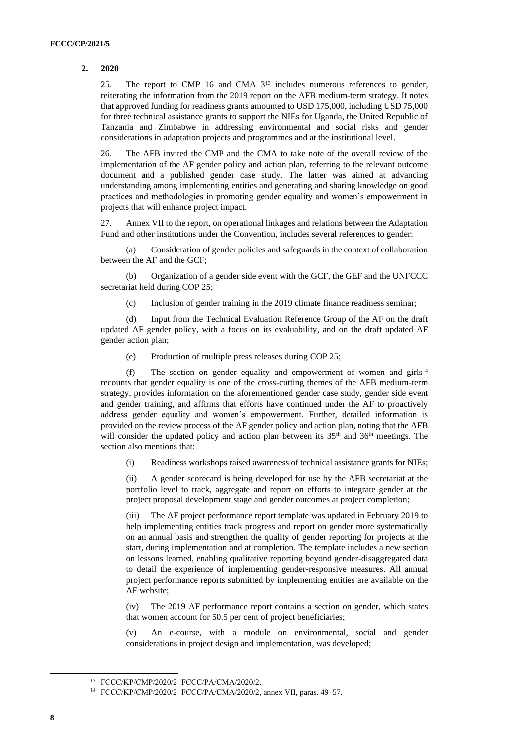### **2. 2020**

25. The report to CMP 16 and CMA  $3^{13}$  includes numerous references to gender, reiterating the information from the 2019 report on the AFB medium-term strategy. It notes that approved funding for readiness grants amounted to USD 175,000, including USD 75,000 for three technical assistance grants to support the NIEs for Uganda, the United Republic of Tanzania and Zimbabwe in addressing environmental and social risks and gender considerations in adaptation projects and programmes and at the institutional level.

26. The AFB invited the CMP and the CMA to take note of the overall review of the implementation of the AF gender policy and action plan, referring to the relevant outcome document and a published gender case study. The latter was aimed at advancing understanding among implementing entities and generating and sharing knowledge on good practices and methodologies in promoting gender equality and women's empowerment in projects that will enhance project impact.

27. Annex VII to the report, on operational linkages and relations between the Adaptation Fund and other institutions under the Convention, includes several references to gender:

(a) Consideration of gender policies and safeguards in the context of collaboration between the AF and the GCF;

(b) Organization of a gender side event with the GCF, the GEF and the UNFCCC secretariat held during COP 25;

(c) Inclusion of gender training in the 2019 climate finance readiness seminar;

(d) Input from the Technical Evaluation Reference Group of the AF on the draft updated AF gender policy, with a focus on its evaluability, and on the draft updated AF gender action plan;

(e) Production of multiple press releases during COP 25;

(f) The section on gender equality and empowerment of women and girls $14$ recounts that gender equality is one of the cross-cutting themes of the AFB medium-term strategy, provides information on the aforementioned gender case study, gender side event and gender training, and affirms that efforts have continued under the AF to proactively address gender equality and women's empowerment. Further, detailed information is provided on the review process of the AF gender policy and action plan, noting that the AFB will consider the updated policy and action plan between its  $35<sup>th</sup>$  and  $36<sup>th</sup>$  meetings. The section also mentions that:

(i) Readiness workshops raised awareness of technical assistance grants for NIEs;

(ii) A gender scorecard is being developed for use by the AFB secretariat at the portfolio level to track, aggregate and report on efforts to integrate gender at the project proposal development stage and gender outcomes at project completion;

(iii) The AF project performance report template was updated in February 2019 to help implementing entities track progress and report on gender more systematically on an annual basis and strengthen the quality of gender reporting for projects at the start, during implementation and at completion. The template includes a new section on lessons learned, enabling qualitative reporting beyond gender-disaggregated data to detail the experience of implementing gender-responsive measures. All annual project performance reports submitted by implementing entities are available on the AF website;

(iv) The 2019 AF performance report contains a section on gender, which states that women account for 50.5 per cent of project beneficiaries;

(v) An e-course, with a module on environmental, social and gender considerations in project design and implementation, was developed;

<sup>13</sup> FCCC/KP/CMP/2020/2−FCCC/PA/CMA/2020/2.

<sup>14</sup> FCCC/KP/CMP/2020/2−FCCC/PA/CMA/2020/2, annex VII, paras. 49–57.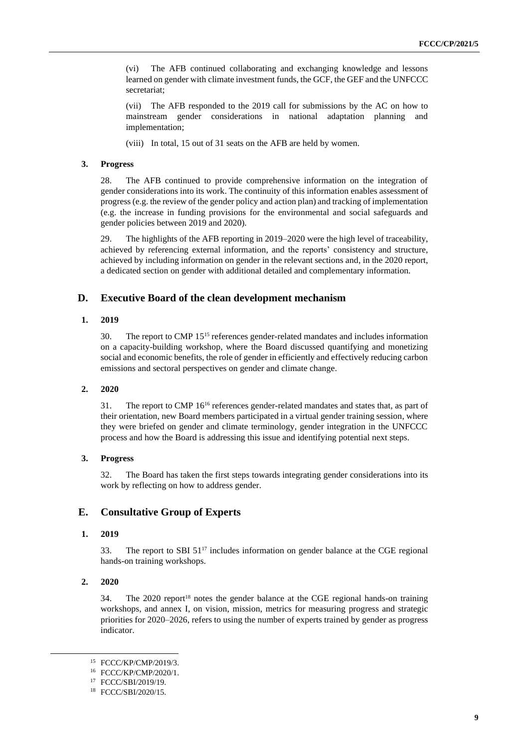(vi) The AFB continued collaborating and exchanging knowledge and lessons learned on gender with climate investment funds, the GCF, the GEF and the UNFCCC secretariat;

(vii) The AFB responded to the 2019 call for submissions by the AC on how to mainstream gender considerations in national adaptation planning and implementation;

(viii) In total, 15 out of 31 seats on the AFB are held by women.

#### **3. Progress**

28. The AFB continued to provide comprehensive information on the integration of gender considerations into its work. The continuity of this information enables assessment of progress(e.g. the review of the gender policy and action plan) and tracking of implementation (e.g. the increase in funding provisions for the environmental and social safeguards and gender policies between 2019 and 2020).

29. The highlights of the AFB reporting in 2019–2020 were the high level of traceability, achieved by referencing external information, and the reports' consistency and structure, achieved by including information on gender in the relevant sections and, in the 2020 report, a dedicated section on gender with additional detailed and complementary information.

## **D. Executive Board of the clean development mechanism**

## **1. 2019**

30. The report to CMP 15 <sup>15</sup> references gender-related mandates and includes information on a capacity-building workshop, where the Board discussed quantifying and monetizing social and economic benefits, the role of gender in efficiently and effectively reducing carbon emissions and sectoral perspectives on gender and climate change.

#### **2. 2020**

31. The report to CMP 16<sup>16</sup> references gender-related mandates and states that, as part of their orientation, new Board members participated in a virtual gender training session, where they were briefed on gender and climate terminology, gender integration in the UNFCCC process and how the Board is addressing this issue and identifying potential next steps.

#### **3. Progress**

32. The Board has taken the first steps towards integrating gender considerations into its work by reflecting on how to address gender.

## **E. Consultative Group of Experts**

#### **1. 2019**

33. The report to SBI  $51^{17}$  includes information on gender balance at the CGE regional hands-on training workshops.

#### **2. 2020**

34. The 2020 report<sup>18</sup> notes the gender balance at the CGE regional hands-on training workshops, and annex I, on vision, mission, metrics for measuring progress and strategic priorities for 2020–2026, refers to using the number of experts trained by gender as progress indicator.

<sup>15</sup> FCCC/KP/CMP/2019/3.

<sup>16</sup> FCCC/KP/CMP/2020/1.

<sup>17</sup> FCCC/SBI/2019/19.

<sup>18</sup> FCCC/SBI/2020/15.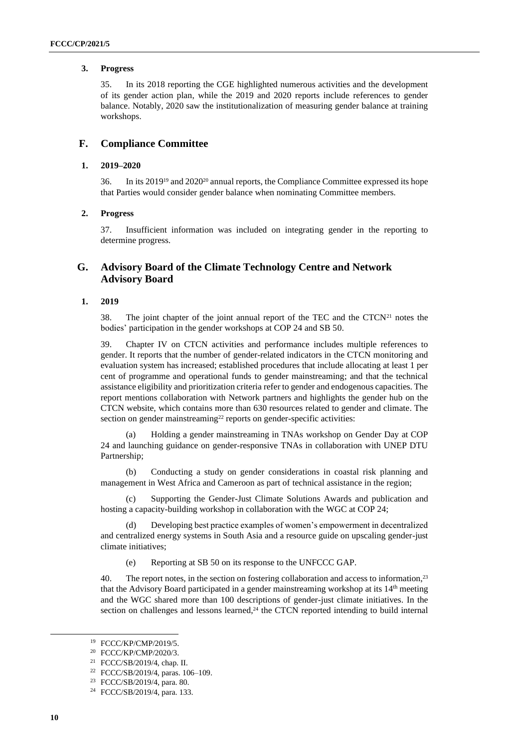#### **3. Progress**

35. In its 2018 reporting the CGE highlighted numerous activities and the development of its gender action plan, while the 2019 and 2020 reports include references to gender balance. Notably, 2020 saw the institutionalization of measuring gender balance at training workshops.

## **F. Compliance Committee**

#### **1. 2019–2020**

36. In its 2019<sup>19</sup> and 2020<sup>20</sup> annual reports, the Compliance Committee expressed its hope that Parties would consider gender balance when nominating Committee members.

#### **2. Progress**

37. Insufficient information was included on integrating gender in the reporting to determine progress.

## **G. Advisory Board of the Climate Technology Centre and Network Advisory Board**

### <span id="page-9-0"></span>**1. 2019**

38. The joint chapter of the joint annual report of the TEC and the  $CTCN<sup>21</sup>$  notes the bodies' participation in the gender workshops at COP 24 and SB 50.

39. Chapter IV on CTCN activities and performance includes multiple references to gender. It reports that the number of gender-related indicators in the CTCN monitoring and evaluation system has increased; established procedures that include allocating at least 1 per cent of programme and operational funds to gender mainstreaming; and that the technical assistance eligibility and prioritization criteria refer to gender and endogenous capacities. The report mentions collaboration with Network partners and highlights the gender hub on the CTCN website, which contains more than 630 resources related to gender and climate. The section on gender mainstreaming<sup>22</sup> reports on gender-specific activities:

(a) Holding a gender mainstreaming in TNAs workshop on Gender Day at COP 24 and launching guidance on gender-responsive TNAs in collaboration with UNEP DTU Partnership;

(b) Conducting a study on gender considerations in coastal risk planning and management in West Africa and Cameroon as part of technical assistance in the region;

(c) Supporting the Gender-Just Climate Solutions Awards and publication and hosting a capacity-building workshop in collaboration with the WGC at COP 24;

Developing best practice examples of women's empowerment in decentralized and centralized energy systems in South Asia and a resource guide on upscaling gender-just climate initiatives;

(e) Reporting at SB 50 on its response to the UNFCCC GAP.

40. The report notes, in the section on fostering collaboration and access to information,<sup>23</sup> that the Advisory Board participated in a gender mainstreaming workshop at its 14<sup>th</sup> meeting and the WGC shared more than 100 descriptions of gender-just climate initiatives. In the section on challenges and lessons learned,<sup>24</sup> the CTCN reported intending to build internal

<sup>19</sup> FCCC/KP/CMP/2019/5.

<sup>20</sup> FCCC/KP/CMP/2020/3.

<sup>21</sup> FCCC/SB/2019/4, chap. II.

<sup>22</sup> FCCC/SB/2019/4, paras. 106–109.

<sup>23</sup> FCCC/SB/2019/4, para. 80.

<sup>24</sup> FCCC/SB/2019/4, para. 133.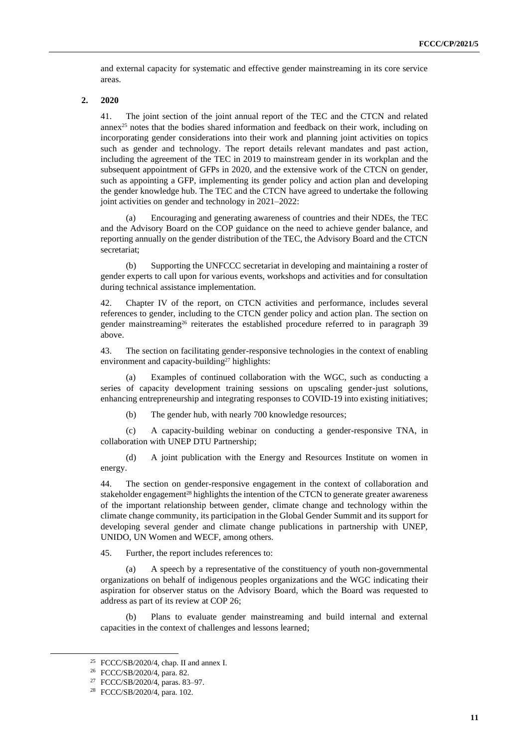and external capacity for systematic and effective gender mainstreaming in its core service areas.

#### <span id="page-10-0"></span>**2. 2020**

41. The joint section of the joint annual report of the TEC and the CTCN and related annex<sup>25</sup> notes that the bodies shared information and feedback on their work, including on incorporating gender considerations into their work and planning joint activities on topics such as gender and technology. The report details relevant mandates and past action, including the agreement of the TEC in 2019 to mainstream gender in its workplan and the subsequent appointment of GFPs in 2020, and the extensive work of the CTCN on gender, such as appointing a GFP, implementing its gender policy and action plan and developing the gender knowledge hub. The TEC and the CTCN have agreed to undertake the following joint activities on gender and technology in 2021–2022:

Encouraging and generating awareness of countries and their NDEs, the TEC and the Advisory Board on the COP guidance on the need to achieve gender balance, and reporting annually on the gender distribution of the TEC, the Advisory Board and the CTCN secretariat;

(b) Supporting the UNFCCC secretariat in developing and maintaining a roster of gender experts to call upon for various events, workshops and activities and for consultation during technical assistance implementation.

42. Chapter IV of the report, on CTCN activities and performance, includes several references to gender, including to the CTCN gender policy and action plan. The section on gender mainstreaming<sup>26</sup> reiterates the established procedure referred to in paragraph 39 [above.](#page-9-0)

43. The section on facilitating gender-responsive technologies in the context of enabling environment and capacity-building<sup>27</sup> highlights:

(a) Examples of continued collaboration with the WGC, such as conducting a series of capacity development training sessions on upscaling gender-just solutions, enhancing entrepreneurship and integrating responses to COVID-19 into existing initiatives;

(b) The gender hub, with nearly 700 knowledge resources;

(c) A capacity-building webinar on conducting a gender-responsive TNA, in collaboration with UNEP DTU Partnership;

(d) A joint publication with the Energy and Resources Institute on women in energy.

44. The section on gender-responsive engagement in the context of collaboration and stakeholder engagement<sup>28</sup> highlights the intention of the CTCN to generate greater awareness of the important relationship between gender, climate change and technology within the climate change community, its participation in the Global Gender Summit and its support for developing several gender and climate change publications in partnership with UNEP, UNIDO, UN Women and WECF, among others.

45. Further, the report includes references to:

(a) A speech by a representative of the constituency of youth non-governmental organizations on behalf of indigenous peoples organizations and the WGC indicating their aspiration for observer status on the Advisory Board, which the Board was requested to address as part of its review at COP 26;

(b) Plans to evaluate gender mainstreaming and build internal and external capacities in the context of challenges and lessons learned;

<sup>25</sup> FCCC/SB/2020/4, chap. II and annex I.

<sup>26</sup> FCCC/SB/2020/4, para. 82.

<sup>27</sup> FCCC/SB/2020/4, paras. 83–97.

<sup>28</sup> FCCC/SB/2020/4, para. 102.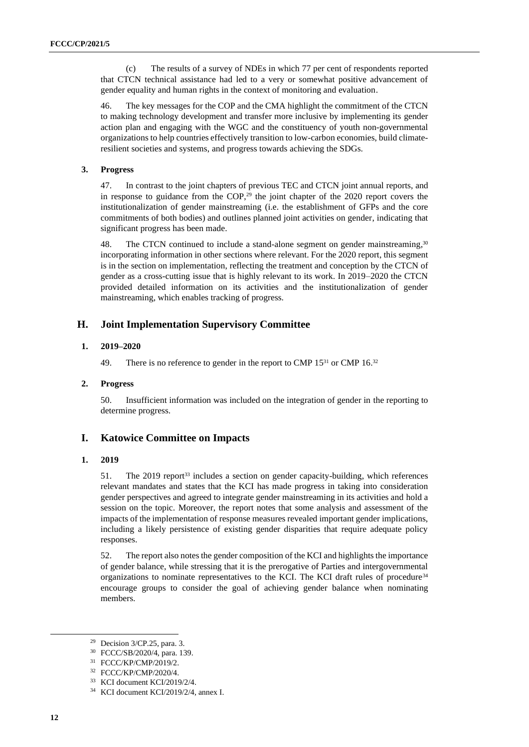(c) The results of a survey of NDEs in which 77 per cent of respondents reported that CTCN technical assistance had led to a very or somewhat positive advancement of gender equality and human rights in the context of monitoring and evaluation.

46. The key messages for the COP and the CMA highlight the commitment of the CTCN to making technology development and transfer more inclusive by implementing its gender action plan and engaging with the WGC and the constituency of youth non-governmental organizations to help countries effectively transition to low-carbon economies, build climateresilient societies and systems, and progress towards achieving the SDGs.

#### **3. Progress**

47. In contrast to the joint chapters of previous TEC and CTCN joint annual reports, and in response to guidance from the COP, <sup>29</sup> the joint chapter of the 2020 report covers the institutionalization of gender mainstreaming (i.e. the establishment of GFPs and the core commitments of both bodies) and outlines planned joint activities on gender, indicating that significant progress has been made.

48. The CTCN continued to include a stand-alone segment on gender mainstreaming, $30$ incorporating information in other sections where relevant. For the 2020 report, this segment is in the section on implementation, reflecting the treatment and conception by the CTCN of gender as a cross-cutting issue that is highly relevant to its work. In 2019–2020 the CTCN provided detailed information on its activities and the institutionalization of gender mainstreaming, which enables tracking of progress.

## **H. Joint Implementation Supervisory Committee**

## **1. 2019–2020**

49. There is no reference to gender in the report to CMP  $15^{31}$  or CMP  $16.^{32}$ 

#### **2. Progress**

50. Insufficient information was included on the integration of gender in the reporting to determine progress.

### **I. Katowice Committee on Impacts**

#### **1. 2019**

51. The 2019 report<sup>33</sup> includes a section on gender capacity-building, which references relevant mandates and states that the KCI has made progress in taking into consideration gender perspectives and agreed to integrate gender mainstreaming in its activities and hold a session on the topic. Moreover, the report notes that some analysis and assessment of the impacts of the implementation of response measures revealed important gender implications, including a likely persistence of existing gender disparities that require adequate policy responses.

52. The report also notes the gender composition of the KCI and highlights the importance of gender balance, while stressing that it is the prerogative of Parties and intergovernmental organizations to nominate representatives to the KCI. The KCI draft rules of procedure<sup>34</sup> encourage groups to consider the goal of achieving gender balance when nominating members.

 $29$  Decision 3/CP.25, para. 3.

<sup>30</sup> FCCC/SB/2020/4, para. 139.

<sup>31</sup> FCCC/KP/CMP/2019/2.

<sup>32</sup> FCCC/KP/CMP/2020/4.

<sup>33</sup> KCI document KCI/2019/2/4.

<sup>34</sup> KCI document KCI/2019/2/4, annex I.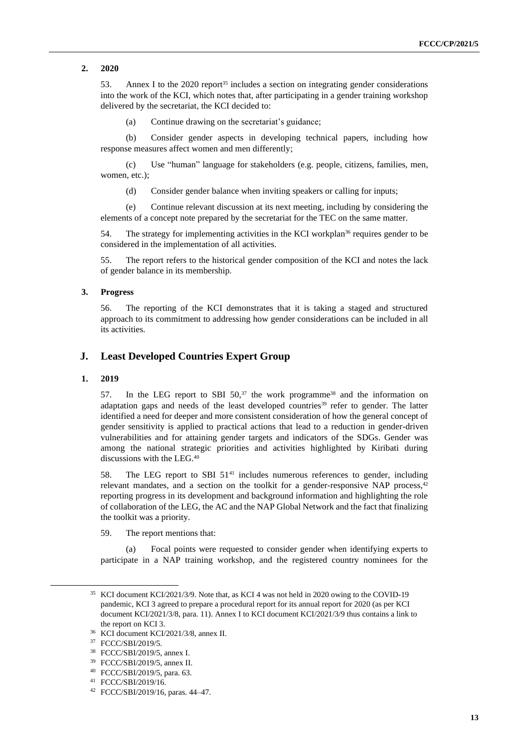**2. 2020**

53. Annex I to the 2020 report<sup>35</sup> includes a section on integrating gender considerations into the work of the KCI, which notes that, after participating in a gender training workshop delivered by the secretariat, the KCI decided to:

(a) Continue drawing on the secretariat's guidance;

(b) Consider gender aspects in developing technical papers, including how response measures affect women and men differently;

(c) Use "human" language for stakeholders (e.g. people, citizens, families, men, women, etc.);

(d) Consider gender balance when inviting speakers or calling for inputs;

(e) Continue relevant discussion at its next meeting, including by considering the elements of a concept note prepared by the secretariat for the TEC on the same matter.

54. The strategy for implementing activities in the KCI workplan<sup>36</sup> requires gender to be considered in the implementation of all activities.

55. The report refers to the historical gender composition of the KCI and notes the lack of gender balance in its membership.

#### **3. Progress**

56. The reporting of the KCI demonstrates that it is taking a staged and structured approach to its commitment to addressing how gender considerations can be included in all its activities.

## **J. Least Developed Countries Expert Group**

#### **1. 2019**

57. In the LEG report to SBI  $50<sup>37</sup>$  the work programme<sup>38</sup> and the information on adaptation gaps and needs of the least developed countries<sup>39</sup> refer to gender. The latter identified a need for deeper and more consistent consideration of how the general concept of gender sensitivity is applied to practical actions that lead to a reduction in gender-driven vulnerabilities and for attaining gender targets and indicators of the SDGs. Gender was among the national strategic priorities and activities highlighted by Kiribati during discussions with the LEG.<sup>40</sup>

58. The LEG report to SBI  $51<sup>41</sup>$  includes numerous references to gender, including relevant mandates, and a section on the toolkit for a gender-responsive NAP process, $42$ reporting progress in its development and background information and highlighting the role of collaboration of the LEG, the AC and the NAP Global Network and the fact that finalizing the toolkit was a priority.

59. The report mentions that:

(a) Focal points were requested to consider gender when identifying experts to participate in a NAP training workshop, and the registered country nominees for the

<sup>35</sup> KCI document KCI/2021/3/9. Note that, as KCI 4 was not held in 2020 owing to the COVID-19 pandemic, KCI 3 agreed to prepare a procedural report for its annual report for 2020 (as per KCI document KCI/2021/3/8, para. 11). Annex I to KCI document KCI/2021/3/9 thus contains a link to the report on KCI 3.

<sup>36</sup> KCI document KCI/2021/3/8, annex II.

<sup>37</sup> FCCC/SBI/2019/5.

<sup>38</sup> FCCC/SBI/2019/5, annex I.

<sup>39</sup> FCCC/SBI/2019/5, annex II.

<sup>40</sup> FCCC/SBI/2019/5, para. 63.

<sup>41</sup> FCCC/SBI/2019/16.

<sup>42</sup> FCCC/SBI/2019/16, paras. 44–47.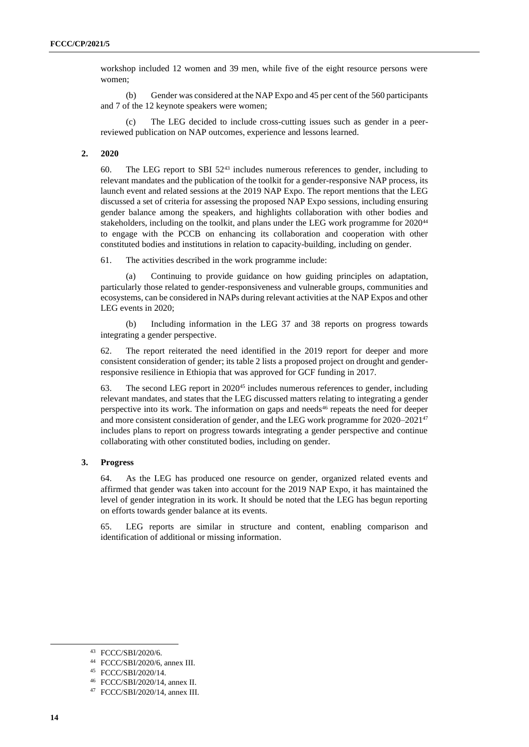workshop included 12 women and 39 men, while five of the eight resource persons were women;

(b) Gender was considered at the NAP Expo and 45 per cent of the 560 participants and 7 of the 12 keynote speakers were women;

The LEG decided to include cross-cutting issues such as gender in a peerreviewed publication on NAP outcomes, experience and lessons learned.

### **2. 2020**

60. The LEG report to SBI 52<sup>43</sup> includes numerous references to gender, including to relevant mandates and the publication of the toolkit for a gender-responsive NAP process, its launch event and related sessions at the 2019 NAP Expo. The report mentions that the LEG discussed a set of criteria for assessing the proposed NAP Expo sessions, including ensuring gender balance among the speakers, and highlights collaboration with other bodies and stakeholders, including on the toolkit, and plans under the LEG work programme for 2020<sup>44</sup> to engage with the PCCB on enhancing its collaboration and cooperation with other constituted bodies and institutions in relation to capacity-building, including on gender.

61. The activities described in the work programme include:

Continuing to provide guidance on how guiding principles on adaptation, particularly those related to gender-responsiveness and vulnerable groups, communities and ecosystems, can be considered in NAPs during relevant activities at the NAP Expos and other LEG events in 2020;

(b) Including information in the LEG 37 and 38 reports on progress towards integrating a gender perspective.

62. The report reiterated the need identified in the 2019 report for deeper and more consistent consideration of gender; its table 2 lists a proposed project on drought and genderresponsive resilience in Ethiopia that was approved for GCF funding in 2017.

63. The second LEG report in  $2020^{45}$  includes numerous references to gender, including relevant mandates, and states that the LEG discussed matters relating to integrating a gender perspective into its work. The information on gaps and needs<sup>46</sup> repeats the need for deeper and more consistent consideration of gender, and the LEG work programme for 2020–2021 47 includes plans to report on progress towards integrating a gender perspective and continue collaborating with other constituted bodies, including on gender.

#### **3. Progress**

64. As the LEG has produced one resource on gender, organized related events and affirmed that gender was taken into account for the 2019 NAP Expo, it has maintained the level of gender integration in its work. It should be noted that the LEG has begun reporting on efforts towards gender balance at its events.

65. LEG reports are similar in structure and content, enabling comparison and identification of additional or missing information.

<sup>43</sup> FCCC/SBI/2020/6.

<sup>44</sup> FCCC/SBI/2020/6, annex III.

<sup>45</sup> FCCC/SBI/2020/14.

<sup>46</sup> FCCC/SBI/2020/14, annex II.

<sup>47</sup> FCCC/SBI/2020/14, annex III.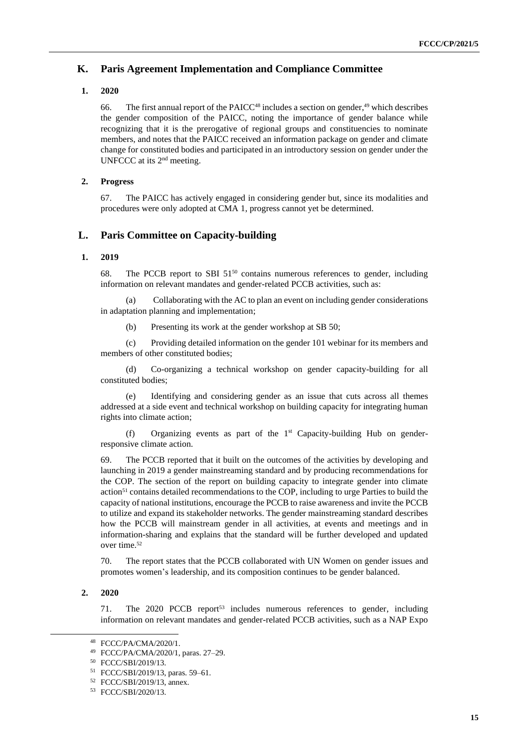## **K. Paris Agreement Implementation and Compliance Committee**

## **1. 2020**

66. The first annual report of the PAICC $48$  includes a section on gender, $49$  which describes the gender composition of the PAICC, noting the importance of gender balance while recognizing that it is the prerogative of regional groups and constituencies to nominate members, and notes that the PAICC received an information package on gender and climate change for constituted bodies and participated in an introductory session on gender under the UNFCCC at its 2<sup>nd</sup> meeting.

## **2. Progress**

67. The PAICC has actively engaged in considering gender but, since its modalities and procedures were only adopted at CMA 1, progress cannot yet be determined.

## **L. Paris Committee on Capacity-building**

### **1. 2019**

68. The PCCB report to SBI 51<sup>50</sup> contains numerous references to gender, including information on relevant mandates and gender-related PCCB activities, such as:

(a) Collaborating with the AC to plan an event on including gender considerations in adaptation planning and implementation;

(b) Presenting its work at the gender workshop at SB 50;

(c) Providing detailed information on the gender 101 webinar for its members and members of other constituted bodies;

(d) Co-organizing a technical workshop on gender capacity-building for all constituted bodies;

(e) Identifying and considering gender as an issue that cuts across all themes addressed at a side event and technical workshop on building capacity for integrating human rights into climate action;

(f) Organizing events as part of the  $1<sup>st</sup>$  Capacity-building Hub on genderresponsive climate action.

69. The PCCB reported that it built on the outcomes of the activities by developing and launching in 2019 a gender mainstreaming standard and by producing recommendations for the COP. The section of the report on building capacity to integrate gender into climate action<sup>51</sup> contains detailed recommendations to the COP, including to urge Parties to build the capacity of national institutions, encourage the PCCB to raise awareness and invite the PCCB to utilize and expand its stakeholder networks. The gender mainstreaming standard describes how the PCCB will mainstream gender in all activities, at events and meetings and in information-sharing and explains that the standard will be further developed and updated over time.<sup>52</sup>

70. The report states that the PCCB collaborated with UN Women on gender issues and promotes women's leadership, and its composition continues to be gender balanced.

### **2. 2020**

71. The 2020 PCCB report<sup>53</sup> includes numerous references to gender, including information on relevant mandates and gender-related PCCB activities, such as a NAP Expo

<sup>48</sup> FCCC/PA/CMA/2020/1.

<sup>49</sup> FCCC/PA/CMA/2020/1, paras. 27–29.

<sup>50</sup> FCCC/SBI/2019/13.

<sup>51</sup> FCCC/SBI/2019/13, paras. 59–61.

<sup>52</sup> FCCC/SBI/2019/13, annex.

<sup>53</sup> FCCC/SBI/2020/13.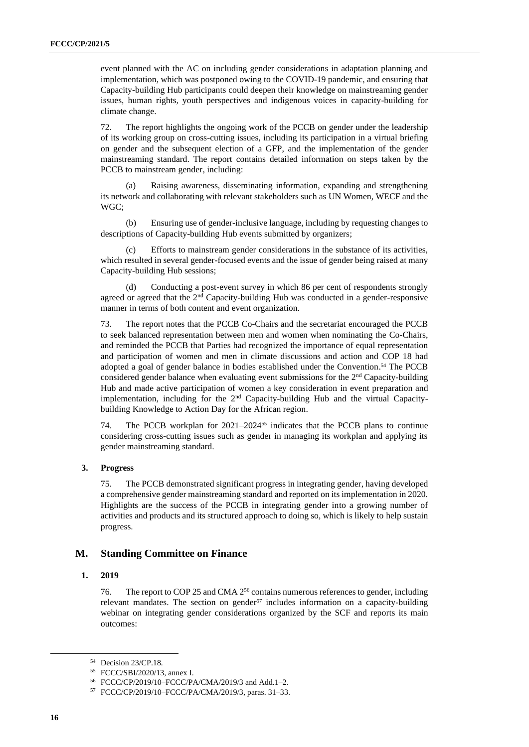event planned with the AC on including gender considerations in adaptation planning and implementation, which was postponed owing to the COVID-19 pandemic, and ensuring that Capacity-building Hub participants could deepen their knowledge on mainstreaming gender issues, human rights, youth perspectives and indigenous voices in capacity-building for climate change.

72. The report highlights the ongoing work of the PCCB on gender under the leadership of its working group on cross-cutting issues, including its participation in a virtual briefing on gender and the subsequent election of a GFP, and the implementation of the gender mainstreaming standard. The report contains detailed information on steps taken by the PCCB to mainstream gender, including:

(a) Raising awareness, disseminating information, expanding and strengthening its network and collaborating with relevant stakeholders such as UN Women, WECF and the WGC;

(b) Ensuring use of gender-inclusive language, including by requesting changes to descriptions of Capacity-building Hub events submitted by organizers;

(c) Efforts to mainstream gender considerations in the substance of its activities, which resulted in several gender-focused events and the issue of gender being raised at many Capacity-building Hub sessions;

(d) Conducting a post-event survey in which 86 per cent of respondents strongly agreed or agreed that the  $2<sup>nd</sup>$  Capacity-building Hub was conducted in a gender-responsive manner in terms of both content and event organization.

73. The report notes that the PCCB Co-Chairs and the secretariat encouraged the PCCB to seek balanced representation between men and women when nominating the Co-Chairs, and reminded the PCCB that Parties had recognized the importance of equal representation and participation of women and men in climate discussions and action and COP 18 had adopted a goal of gender balance in bodies established under the Convention. <sup>54</sup> The PCCB considered gender balance when evaluating event submissions for the  $2<sup>nd</sup>$  Capacity-building Hub and made active participation of women a key consideration in event preparation and implementation, including for the  $2<sup>nd</sup>$  Capacity-building Hub and the virtual Capacitybuilding Knowledge to Action Day for the African region.

74. The PCCB workplan for 2021–2024<sup>55</sup> indicates that the PCCB plans to continue considering cross-cutting issues such as gender in managing its workplan and applying its gender mainstreaming standard.

#### **3. Progress**

75. The PCCB demonstrated significant progress in integrating gender, having developed a comprehensive gender mainstreaming standard and reported on its implementation in 2020. Highlights are the success of the PCCB in integrating gender into a growing number of activities and products and its structured approach to doing so, which is likely to help sustain progress.

## **M. Standing Committee on Finance**

#### **1. 2019**

76. The report to COP 25 and CMA 2<sup>56</sup> contains numerous references to gender, including relevant mandates. The section on gender<sup>57</sup> includes information on a capacity-building webinar on integrating gender considerations organized by the SCF and reports its main outcomes:

<sup>54</sup> Decision 23/CP.18.

<sup>55</sup> FCCC/SBI/2020/13, annex I.

<sup>56</sup> FCCC/CP/2019/10–FCCC/PA/CMA/2019/3 and Add.1–2.

<sup>57</sup> FCCC/CP/2019/10–FCCC/PA/CMA/2019/3, paras. 31–33.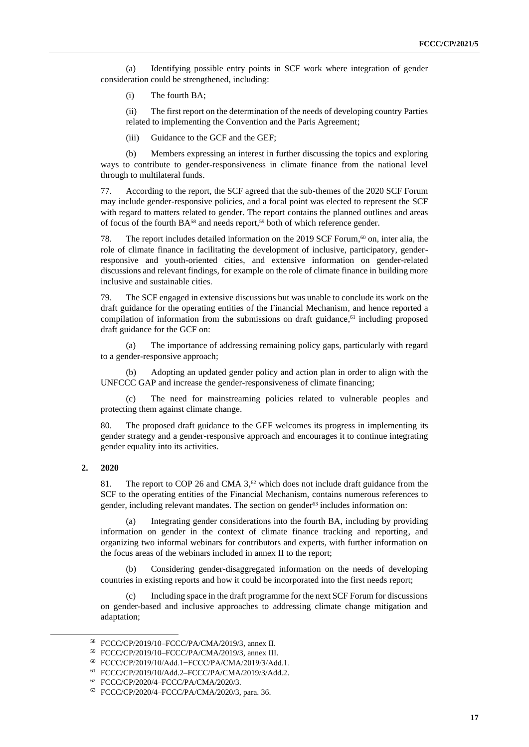(a) Identifying possible entry points in SCF work where integration of gender consideration could be strengthened, including:

(i) The fourth BA;

(ii) The first report on the determination of the needs of developing country Parties related to implementing the Convention and the Paris Agreement;

(iii) Guidance to the GCF and the GEF;

(b) Members expressing an interest in further discussing the topics and exploring ways to contribute to gender-responsiveness in climate finance from the national level through to multilateral funds.

77. According to the report, the SCF agreed that the sub-themes of the 2020 SCF Forum may include gender-responsive policies, and a focal point was elected to represent the SCF with regard to matters related to gender. The report contains the planned outlines and areas of focus of the fourth BA<sup>58</sup> and needs report,<sup>59</sup> both of which reference gender.

78. The report includes detailed information on the 2019 SCF Forum, <sup>60</sup> on, inter alia, the role of climate finance in facilitating the development of inclusive, participatory, genderresponsive and youth-oriented cities, and extensive information on gender-related discussions and relevant findings, for example on the role of climate finance in building more inclusive and sustainable cities.

79. The SCF engaged in extensive discussions but was unable to conclude its work on the draft guidance for the operating entities of the Financial Mechanism, and hence reported a compilation of information from the submissions on draft guidance, $61$  including proposed draft guidance for the GCF on:

(a) The importance of addressing remaining policy gaps, particularly with regard to a gender-responsive approach;

(b) Adopting an updated gender policy and action plan in order to align with the UNFCCC GAP and increase the gender-responsiveness of climate financing;

(c) The need for mainstreaming policies related to vulnerable peoples and protecting them against climate change.

80. The proposed draft guidance to the GEF welcomes its progress in implementing its gender strategy and a gender-responsive approach and encourages it to continue integrating gender equality into its activities.

81. The report to COP 26 and CMA  $3,62$  which does not include draft guidance from the SCF to the operating entities of the Financial Mechanism, contains numerous references to gender, including relevant mandates. The section on gender<sup>63</sup> includes information on:

(a) Integrating gender considerations into the fourth BA, including by providing information on gender in the context of climate finance tracking and reporting, and organizing two informal webinars for contributors and experts, with further information on the focus areas of the webinars included in annex II to the report;

(b) Considering gender-disaggregated information on the needs of developing countries in existing reports and how it could be incorporated into the first needs report;

Including space in the draft programme for the next SCF Forum for discussions on gender-based and inclusive approaches to addressing climate change mitigation and adaptation;

**<sup>2.</sup> 2020**

<sup>58</sup> FCCC/CP/2019/10–FCCC/PA/CMA/2019/3, annex II.

<sup>59</sup> FCCC/CP/2019/10–FCCC/PA/CMA/2019/3, annex III.

<sup>60</sup> FCCC/CP/2019/10/Add.1−FCCC/PA/CMA/2019/3/Add.1.

<sup>61</sup> FCCC/CP/2019/10/Add.2–FCCC/PA/CMA/2019/3/Add.2.

<sup>62</sup> FCCC/CP/2020/4–FCCC/PA/CMA/2020/3.

<sup>63</sup> FCCC/CP/2020/4–FCCC/PA/CMA/2020/3, para. 36.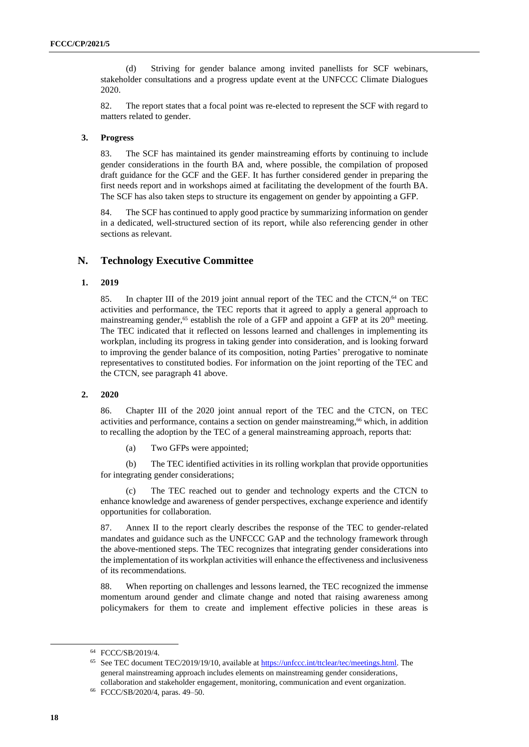(d) Striving for gender balance among invited panellists for SCF webinars, stakeholder consultations and a progress update event at the UNFCCC Climate Dialogues 2020.

82. The report states that a focal point was re-elected to represent the SCF with regard to matters related to gender.

#### **3. Progress**

83. The SCF has maintained its gender mainstreaming efforts by continuing to include gender considerations in the fourth BA and, where possible, the compilation of proposed draft guidance for the GCF and the GEF. It has further considered gender in preparing the first needs report and in workshops aimed at facilitating the development of the fourth BA. The SCF has also taken steps to structure its engagement on gender by appointing a GFP.

84. The SCF has continued to apply good practice by summarizing information on gender in a dedicated, well-structured section of its report, while also referencing gender in other sections as relevant.

## **N. Technology Executive Committee**

## **1. 2019**

85. In chapter III of the 2019 joint annual report of the TEC and the CTCN,<sup>64</sup> on TEC activities and performance, the TEC reports that it agreed to apply a general approach to mainstreaming gender,<sup>65</sup> establish the role of a GFP and appoint a GFP at its  $20<sup>th</sup>$  meeting. The TEC indicated that it reflected on lessons learned and challenges in implementing its workplan, including its progress in taking gender into consideration, and is looking forward to improving the gender balance of its composition, noting Parties' prerogative to nominate representatives to constituted bodies. For information on the joint reporting of the TEC and the CTCN, see paragraph [41 above.](#page-10-0)

#### **2. 2020**

86. Chapter III of the 2020 joint annual report of the TEC and the CTCN, on TEC activities and performance, contains a section on gender mainstreaming, <sup>66</sup> which, in addition to recalling the adoption by the TEC of a general mainstreaming approach, reports that:

(a) Two GFPs were appointed;

(b) The TEC identified activities in its rolling workplan that provide opportunities for integrating gender considerations;

The TEC reached out to gender and technology experts and the CTCN to enhance knowledge and awareness of gender perspectives, exchange experience and identify opportunities for collaboration.

87. Annex II to the report clearly describes the response of the TEC to gender-related mandates and guidance such as the UNFCCC GAP and the technology framework through the above-mentioned steps. The TEC recognizes that integrating gender considerations into the implementation of its workplan activities will enhance the effectiveness and inclusiveness of its recommendations.

88. When reporting on challenges and lessons learned, the TEC recognized the immense momentum around gender and climate change and noted that raising awareness among policymakers for them to create and implement effective policies in these areas is

<sup>64</sup> FCCC/SB/2019/4.

<sup>&</sup>lt;sup>65</sup> See TEC document TEC/2019/19/10, available at [https://unfccc.int/ttclear/tec/meetings.html.](https://unfccc.int/ttclear/tec/meetings.html) The general mainstreaming approach includes elements on mainstreaming gender considerations, collaboration and stakeholder engagement, monitoring, communication and event organization.

<sup>66</sup> FCCC/SB/2020/4, paras. 49–50.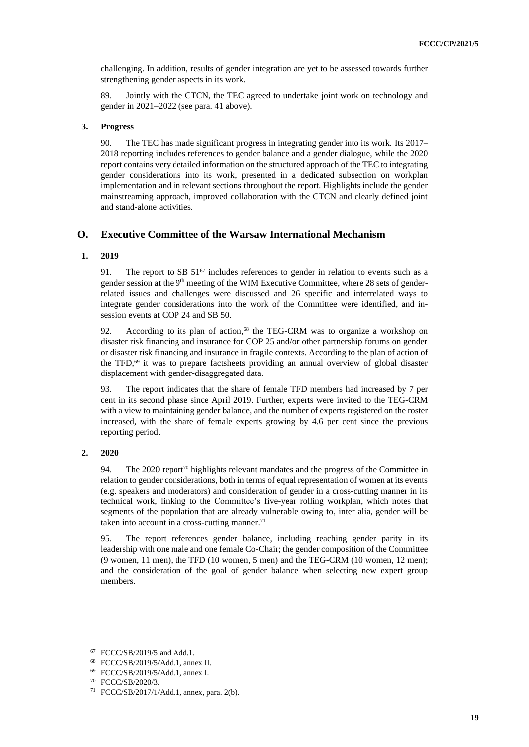challenging. In addition, results of gender integration are yet to be assessed towards further strengthening gender aspects in its work.

89. Jointly with the CTCN, the TEC agreed to undertake joint work on technology and gender in 2021–2022 (see para. [41 above\)](#page-10-0).

#### **3. Progress**

90. The TEC has made significant progress in integrating gender into its work. Its 2017– 2018 reporting includes references to gender balance and a gender dialogue, while the 2020 report contains very detailed information on the structured approach of the TEC to integrating gender considerations into its work, presented in a dedicated subsection on workplan implementation and in relevant sections throughout the report. Highlights include the gender mainstreaming approach, improved collaboration with the CTCN and clearly defined joint and stand-alone activities.

## **O. Executive Committee of the Warsaw International Mechanism**

#### **1. 2019**

91. The report to SB  $51^{67}$  includes references to gender in relation to events such as a gender session at the 9<sup>th</sup> meeting of the WIM Executive Committee, where 28 sets of genderrelated issues and challenges were discussed and 26 specific and interrelated ways to integrate gender considerations into the work of the Committee were identified, and insession events at COP 24 and SB 50.

92. According to its plan of action, <sup>68</sup> the TEG-CRM was to organize a workshop on disaster risk financing and insurance for COP 25 and/or other partnership forums on gender or disaster risk financing and insurance in fragile contexts. According to the plan of action of the TFD, <sup>69</sup> it was to prepare factsheets providing an annual overview of global disaster displacement with gender-disaggregated data.

93. The report indicates that the share of female TFD members had increased by 7 per cent in its second phase since April 2019. Further, experts were invited to the TEG-CRM with a view to maintaining gender balance, and the number of experts registered on the roster increased, with the share of female experts growing by 4.6 per cent since the previous reporting period.

#### **2. 2020**

94. The 2020 report<sup>70</sup> highlights relevant mandates and the progress of the Committee in relation to gender considerations, both in terms of equal representation of women at its events (e.g. speakers and moderators) and consideration of gender in a cross-cutting manner in its technical work, linking to the Committee's five-year rolling workplan, which notes that segments of the population that are already vulnerable owing to, inter alia, gender will be taken into account in a cross-cutting manner. $71$ 

95. The report references gender balance, including reaching gender parity in its leadership with one male and one female Co-Chair; the gender composition of the Committee (9 women, 11 men), the TFD (10 women, 5 men) and the TEG-CRM (10 women, 12 men); and the consideration of the goal of gender balance when selecting new expert group members.

<sup>67</sup> FCCC/SB/2019/5 and Add.1.

<sup>68</sup> FCCC/SB/2019/5/Add.1, annex II.

<sup>69</sup> FCCC/SB/2019/5/Add.1, annex I.

<sup>70</sup> FCCC/SB/2020/3.

<sup>71</sup> FCCC/SB/2017/1/Add.1, annex, para. 2(b).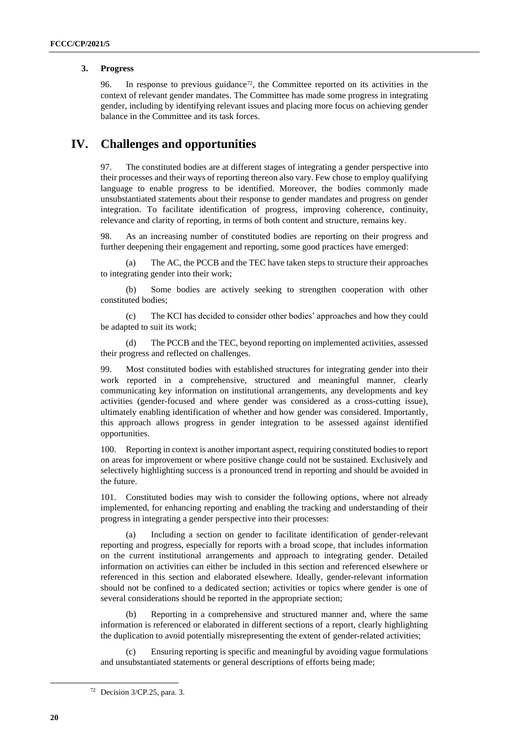#### **3. Progress**

96. In response to previous guidance<sup> $72$ </sup>, the Committee reported on its activities in the context of relevant gender mandates. The Committee has made some progress in integrating gender, including by identifying relevant issues and placing more focus on achieving gender balance in the Committee and its task forces.

## **IV. Challenges and opportunities**

97. The constituted bodies are at different stages of integrating a gender perspective into their processes and their ways of reporting thereon also vary. Few chose to employ qualifying language to enable progress to be identified. Moreover, the bodies commonly made unsubstantiated statements about their response to gender mandates and progress on gender integration. To facilitate identification of progress, improving coherence, continuity, relevance and clarity of reporting, in terms of both content and structure, remains key.

98. As an increasing number of constituted bodies are reporting on their progress and further deepening their engagement and reporting, some good practices have emerged:

(a) The AC, the PCCB and the TEC have taken steps to structure their approaches to integrating gender into their work;

(b) Some bodies are actively seeking to strengthen cooperation with other constituted bodies;

(c) The KCI has decided to consider other bodies' approaches and how they could be adapted to suit its work;

(d) The PCCB and the TEC, beyond reporting on implemented activities, assessed their progress and reflected on challenges.

99. Most constituted bodies with established structures for integrating gender into their work reported in a comprehensive, structured and meaningful manner, clearly communicating key information on institutional arrangements, any developments and key activities (gender-focused and where gender was considered as a cross-cutting issue), ultimately enabling identification of whether and how gender was considered. Importantly, this approach allows progress in gender integration to be assessed against identified opportunities.

100. Reporting in context is another important aspect, requiring constituted bodies to report on areas for improvement or where positive change could not be sustained. Exclusively and selectively highlighting success is a pronounced trend in reporting and should be avoided in the future.

101. Constituted bodies may wish to consider the following options, where not already implemented, for enhancing reporting and enabling the tracking and understanding of their progress in integrating a gender perspective into their processes:

Including a section on gender to facilitate identification of gender-relevant reporting and progress, especially for reports with a broad scope, that includes information on the current institutional arrangements and approach to integrating gender. Detailed information on activities can either be included in this section and referenced elsewhere or referenced in this section and elaborated elsewhere. Ideally, gender-relevant information should not be confined to a dedicated section; activities or topics where gender is one of several considerations should be reported in the appropriate section;

Reporting in a comprehensive and structured manner and, where the same information is referenced or elaborated in different sections of a report, clearly highlighting the duplication to avoid potentially misrepresenting the extent of gender-related activities;

Ensuring reporting is specific and meaningful by avoiding vague formulations and unsubstantiated statements or general descriptions of efforts being made;

<sup>72</sup> Decision 3/CP.25, para. 3.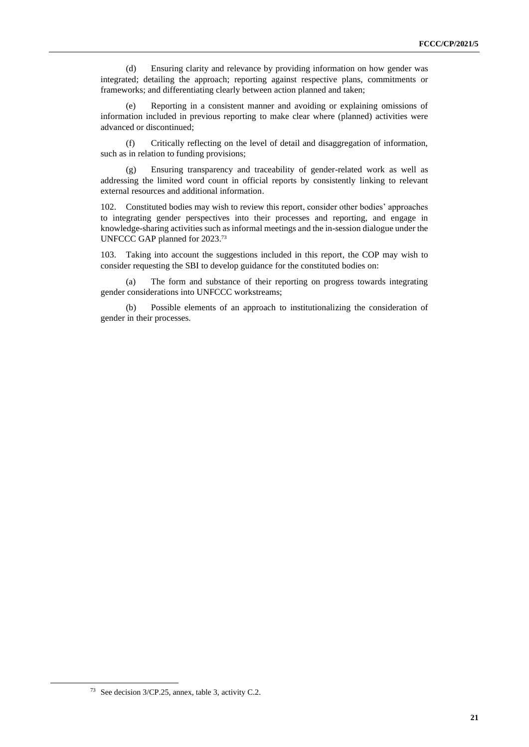(d) Ensuring clarity and relevance by providing information on how gender was integrated; detailing the approach; reporting against respective plans, commitments or frameworks; and differentiating clearly between action planned and taken;

(e) Reporting in a consistent manner and avoiding or explaining omissions of information included in previous reporting to make clear where (planned) activities were advanced or discontinued;

(f) Critically reflecting on the level of detail and disaggregation of information, such as in relation to funding provisions;

(g) Ensuring transparency and traceability of gender-related work as well as addressing the limited word count in official reports by consistently linking to relevant external resources and additional information.

102. Constituted bodies may wish to review this report, consider other bodies' approaches to integrating gender perspectives into their processes and reporting, and engage in knowledge-sharing activities such as informal meetings and the in-session dialogue under the UNFCCC GAP planned for 2023.<sup>73</sup>

103. Taking into account the suggestions included in this report, the COP may wish to consider requesting the SBI to develop guidance for the constituted bodies on:

(a) The form and substance of their reporting on progress towards integrating gender considerations into UNFCCC workstreams;

(b) Possible elements of an approach to institutionalizing the consideration of gender in their processes.

<sup>73</sup> See decision 3/CP.25, annex, table 3, activity C.2.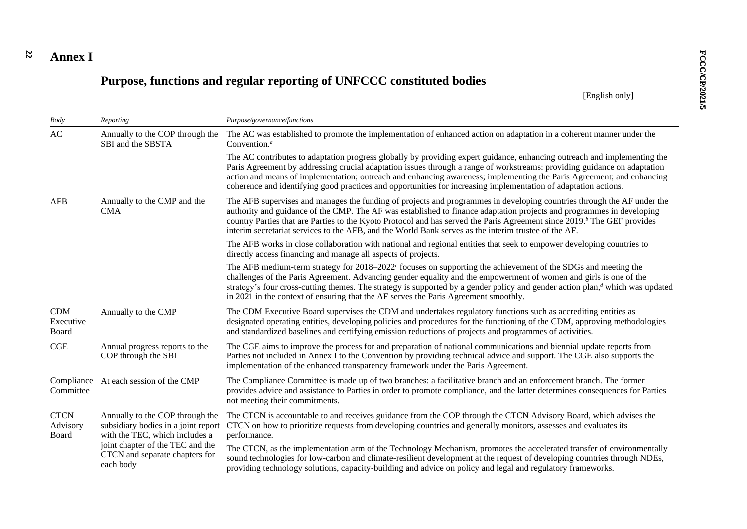#### **22 Annex I**

# **Purpose, functions and regular reporting of UNFCCC constituted bodies**

[English only]

| Body                             | Reporting                                                                                                | Purpose/governance/functions                                                                                                                                                                                                                                                                                                                                                                                                                                                                     |  |
|----------------------------------|----------------------------------------------------------------------------------------------------------|--------------------------------------------------------------------------------------------------------------------------------------------------------------------------------------------------------------------------------------------------------------------------------------------------------------------------------------------------------------------------------------------------------------------------------------------------------------------------------------------------|--|
| AC                               | Annually to the COP through the<br>SBI and the SBSTA                                                     | The AC was established to promote the implementation of enhanced action on adaptation in a coherent manner under the<br>Convention. <sup>a</sup>                                                                                                                                                                                                                                                                                                                                                 |  |
|                                  |                                                                                                          | The AC contributes to adaptation progress globally by providing expert guidance, enhancing outreach and implementing the<br>Paris Agreement by addressing crucial adaptation issues through a range of workstreams: providing guidance on adaptation<br>action and means of implementation; outreach and enhancing awareness; implementing the Paris Agreement; and enhancing<br>coherence and identifying good practices and opportunities for increasing implementation of adaptation actions. |  |
| <b>AFB</b>                       | Annually to the CMP and the<br><b>CMA</b>                                                                | The AFB supervises and manages the funding of projects and programmes in developing countries through the AF under the<br>authority and guidance of the CMP. The AF was established to finance adaptation projects and programmes in developing<br>country Parties that are Parties to the Kyoto Protocol and has served the Paris Agreement since 2019. <sup>b</sup> The GEF provides<br>interim secretariat services to the AFB, and the World Bank serves as the interim trustee of the AF.   |  |
|                                  |                                                                                                          | The AFB works in close collaboration with national and regional entities that seek to empower developing countries to<br>directly access financing and manage all aspects of projects.                                                                                                                                                                                                                                                                                                           |  |
|                                  |                                                                                                          | The AFB medium-term strategy for $2018-2022$ focuses on supporting the achievement of the SDGs and meeting the<br>challenges of the Paris Agreement. Advancing gender equality and the empowerment of women and girls is one of the<br>strategy's four cross-cutting themes. The strategy is supported by a gender policy and gender action plan, $d$ which was updated<br>in 2021 in the context of ensuring that the AF serves the Paris Agreement smoothly.                                   |  |
| CDM<br>Executive<br>Board        | Annually to the CMP                                                                                      | The CDM Executive Board supervises the CDM and undertakes regulatory functions such as accrediting entities as<br>designated operating entities, developing policies and procedures for the functioning of the CDM, approving methodologies<br>and standardized baselines and certifying emission reductions of projects and programmes of activities.                                                                                                                                           |  |
| CGE                              | Annual progress reports to the<br>COP through the SBI                                                    | The CGE aims to improve the process for and preparation of national communications and biennial update reports from<br>Parties not included in Annex I to the Convention by providing technical advice and support. The CGE also supports the<br>implementation of the enhanced transparency framework under the Paris Agreement.                                                                                                                                                                |  |
| Committee                        | Compliance At each session of the CMP                                                                    | The Compliance Committee is made up of two branches: a facilitative branch and an enforcement branch. The former<br>provides advice and assistance to Parties in order to promote compliance, and the latter determines consequences for Parties<br>not meeting their commitments.                                                                                                                                                                                                               |  |
| <b>CTCN</b><br>Advisory<br>Board | Annually to the COP through the<br>subsidiary bodies in a joint report<br>with the TEC, which includes a | The CTCN is accountable to and receives guidance from the COP through the CTCN Advisory Board, which advises the<br>CTCN on how to prioritize requests from developing countries and generally monitors, assesses and evaluates its<br>performance.                                                                                                                                                                                                                                              |  |
|                                  | joint chapter of the TEC and the<br>CTCN and separate chapters for<br>each body                          | The CTCN, as the implementation arm of the Technology Mechanism, promotes the accelerated transfer of environmentally<br>sound technologies for low-carbon and climate-resilient development at the request of developing countries through NDEs,<br>providing technology solutions, capacity-building and advice on policy and legal and regulatory frameworks.                                                                                                                                 |  |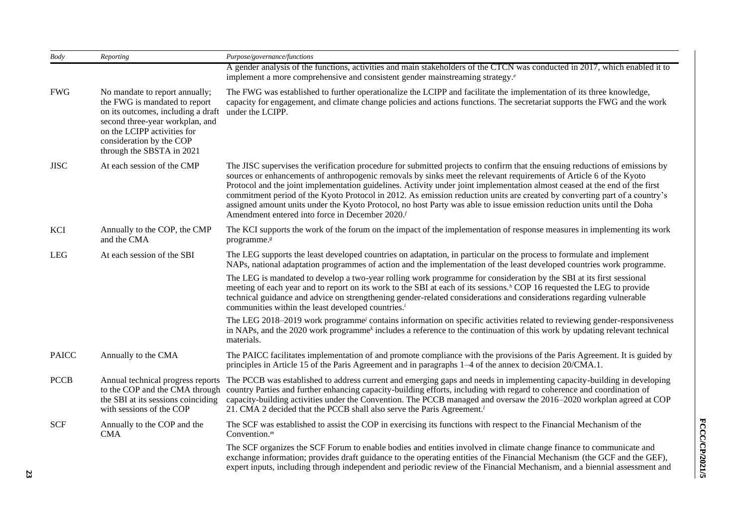| Body         | Reporting                                                                                                                                                                                                                                                                                                                                                                                                                                                                                                                                                                                                 | Purpose/governance/functions                                                                                                                                                                                                                                                                                                                                                                                                                                                                                                                                                                                                                                                                               |  |  |
|--------------|-----------------------------------------------------------------------------------------------------------------------------------------------------------------------------------------------------------------------------------------------------------------------------------------------------------------------------------------------------------------------------------------------------------------------------------------------------------------------------------------------------------------------------------------------------------------------------------------------------------|------------------------------------------------------------------------------------------------------------------------------------------------------------------------------------------------------------------------------------------------------------------------------------------------------------------------------------------------------------------------------------------------------------------------------------------------------------------------------------------------------------------------------------------------------------------------------------------------------------------------------------------------------------------------------------------------------------|--|--|
|              |                                                                                                                                                                                                                                                                                                                                                                                                                                                                                                                                                                                                           | A gender analysis of the functions, activities and main stakeholders of the CTCN was conducted in 2017, which enabled it to<br>implement a more comprehensive and consistent gender mainstreaming strategy. <sup><i>e</i></sup>                                                                                                                                                                                                                                                                                                                                                                                                                                                                            |  |  |
| <b>FWG</b>   | No mandate to report annually;<br>the FWG is mandated to report<br>on its outcomes, including a draft<br>second three-year workplan, and<br>on the LCIPP activities for<br>consideration by the COP<br>through the SBSTA in 2021                                                                                                                                                                                                                                                                                                                                                                          | The FWG was established to further operationalize the LCIPP and facilitate the implementation of its three knowledge,<br>capacity for engagement, and climate change policies and actions functions. The secretariat supports the FWG and the work<br>under the LCIPP.                                                                                                                                                                                                                                                                                                                                                                                                                                     |  |  |
| <b>JISC</b>  | At each session of the CMP                                                                                                                                                                                                                                                                                                                                                                                                                                                                                                                                                                                | The JISC supervises the verification procedure for submitted projects to confirm that the ensuing reductions of emissions by<br>sources or enhancements of anthropogenic removals by sinks meet the relevant requirements of Article 6 of the Kyoto<br>Protocol and the joint implementation guidelines. Activity under joint implementation almost ceased at the end of the first<br>commitment period of the Kyoto Protocol in 2012. As emission reduction units are created by converting part of a country's<br>assigned amount units under the Kyoto Protocol, no host Party was able to issue emission reduction units until the Doha<br>Amendment entered into force in December 2020. <sup>f</sup> |  |  |
| KCI          | Annually to the COP, the CMP<br>and the CMA                                                                                                                                                                                                                                                                                                                                                                                                                                                                                                                                                               | The KCI supports the work of the forum on the impact of the implementation of response measures in implementing its work<br>programme. <sup>8</sup>                                                                                                                                                                                                                                                                                                                                                                                                                                                                                                                                                        |  |  |
| <b>LEG</b>   | At each session of the SBI                                                                                                                                                                                                                                                                                                                                                                                                                                                                                                                                                                                | The LEG supports the least developed countries on adaptation, in particular on the process to formulate and implement<br>NAPs, national adaptation programmes of action and the implementation of the least developed countries work programme.                                                                                                                                                                                                                                                                                                                                                                                                                                                            |  |  |
|              |                                                                                                                                                                                                                                                                                                                                                                                                                                                                                                                                                                                                           | The LEG is mandated to develop a two-year rolling work programme for consideration by the SBI at its first sessional<br>meeting of each year and to report on its work to the SBI at each of its sessions. <sup>h</sup> COP 16 requested the LEG to provide<br>technical guidance and advice on strengthening gender-related considerations and considerations regarding vulnerable<br>communities within the least developed countries. <sup>i</sup>                                                                                                                                                                                                                                                      |  |  |
|              |                                                                                                                                                                                                                                                                                                                                                                                                                                                                                                                                                                                                           | The LEG 2018–2019 work programme/ contains information on specific activities related to reviewing gender-responsiveness<br>in NAPs, and the 2020 work programme <sup>k</sup> includes a reference to the continuation of this work by updating relevant technical<br>materials.                                                                                                                                                                                                                                                                                                                                                                                                                           |  |  |
| <b>PAICC</b> | Annually to the CMA                                                                                                                                                                                                                                                                                                                                                                                                                                                                                                                                                                                       | The PAICC facilitates implementation of and promote compliance with the provisions of the Paris Agreement. It is guided by<br>principles in Article 15 of the Paris Agreement and in paragraphs 1–4 of the annex to decision 20/CMA.1.                                                                                                                                                                                                                                                                                                                                                                                                                                                                     |  |  |
| <b>PCCB</b>  | Annual technical progress reports<br>The PCCB was established to address current and emerging gaps and needs in implementing capacity-building in developing<br>country Parties and further enhancing capacity-building efforts, including with regard to coherence and coordination of<br>to the COP and the CMA through<br>the SBI at its sessions coinciding<br>capacity-building activities under the Convention. The PCCB managed and oversaw the 2016–2020 workplan agreed at COP<br>with sessions of the COP<br>21. CMA 2 decided that the PCCB shall also serve the Paris Agreement. <sup>1</sup> |                                                                                                                                                                                                                                                                                                                                                                                                                                                                                                                                                                                                                                                                                                            |  |  |
| <b>SCF</b>   | Annually to the COP and the<br><b>CMA</b>                                                                                                                                                                                                                                                                                                                                                                                                                                                                                                                                                                 | The SCF was established to assist the COP in exercising its functions with respect to the Financial Mechanism of the<br>Convention. $m$                                                                                                                                                                                                                                                                                                                                                                                                                                                                                                                                                                    |  |  |
|              |                                                                                                                                                                                                                                                                                                                                                                                                                                                                                                                                                                                                           | The SCF organizes the SCF Forum to enable bodies and entities involved in climate change finance to communicate and<br>exchange information; provides draft guidance to the operating entities of the Financial Mechanism (the GCF and the GEF),<br>expert inputs, including through independent and periodic review of the Financial Mechanism, and a biennial assessment and                                                                                                                                                                                                                                                                                                                             |  |  |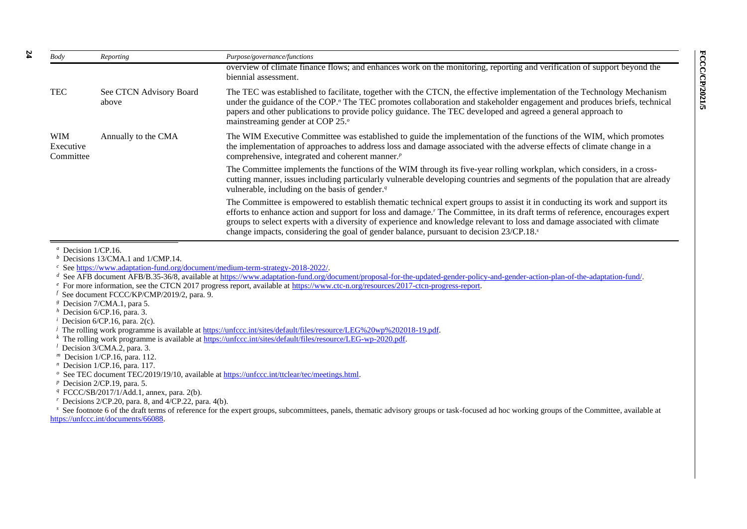| Body                                 | Reporting                        | Purpose/governance/functions                                                                                                                                                                                                                                                                                                                                                                                                                                                        |
|--------------------------------------|----------------------------------|-------------------------------------------------------------------------------------------------------------------------------------------------------------------------------------------------------------------------------------------------------------------------------------------------------------------------------------------------------------------------------------------------------------------------------------------------------------------------------------|
|                                      |                                  | overview of climate finance flows; and enhances work on the monitoring, reporting and verification of support beyond the<br>biennial assessment.                                                                                                                                                                                                                                                                                                                                    |
| <b>TEC</b>                           | See CTCN Advisory Board<br>above | The TEC was established to facilitate, together with the CTCN, the effective implementation of the Technology Mechanism<br>under the guidance of the COP." The TEC promotes collaboration and stakeholder engagement and produces briefs, technical<br>papers and other publications to provide policy guidance. The TEC developed and agreed a general approach to<br>mainstreaming gender at COP 25. <sup>o</sup>                                                                 |
| <b>WIM</b><br>Executive<br>Committee | Annually to the CMA              | The WIM Executive Committee was established to guide the implementation of the functions of the WIM, which promotes<br>the implementation of approaches to address loss and damage associated with the adverse effects of climate change in a<br>comprehensive, integrated and coherent manner. <sup><i>p</i></sup>                                                                                                                                                                 |
|                                      |                                  | The Committee implements the functions of the WIM through its five-year rolling workplan, which considers, in a cross-<br>cutting manner, issues including particularly vulnerable developing countries and segments of the population that are already<br>vulnerable, including on the basis of gender. $q$                                                                                                                                                                        |
|                                      |                                  | The Committee is empowered to establish thematic technical expert groups to assist it in conducting its work and support its<br>efforts to enhance action and support for loss and damage. The Committee, in its draft terms of reference, encourages expert<br>groups to select experts with a diversity of experience and knowledge relevant to loss and damage associated with climate<br>change impacts, considering the goal of gender balance, pursuant to decision 23/CP.18. |

*<sup>a</sup>* Decision 1/CP.16.

*b* Decisions 13/CMA.1 and 1/CMP.14.

*d* See AFB document AFB/B.35-36/8, available at [https://www.adaptation-fund.org/document/proposal-for-the-updated-gender-policy-and-gender-action-plan-of-the-adaptation-fund/.](https://www.adaptation-fund.org/document/proposal-for-the-updated-gender-policy-and-gender-action-plan-of-the-adaptation-fund/)

- *<sup>e</sup>* For more information, see the CTCN 2017 progress report, available at [https://www.ctc-n.org/resources/2017-ctcn-progress-report.](https://www.ctc-n.org/resources/2017-ctcn-progress-report)
- *<sup>f</sup>* See document FCCC/KP/CMP/2019/2, para. 9.
- *<sup>g</sup>* Decision 7/CMA.1, para 5.
- *<sup>h</sup>* Decision 6/CP.16, para. 3.
- *Decision 6/CP.16, para. 2(c).*

*k* The rolling work programme is available a[t https://unfccc.int/sites/default/files/resource/LEG-wp-2020.pdf.](https://unfccc.int/sites/default/files/resource/LEG-wp-2020.pdf)

- *<sup>m</sup>* Decision 1/CP.16, para. 112.
- *<sup>n</sup>* Decision 1/CP.16, para. 117.
- *<sup>o</sup>* See TEC document TEC/2019/19/10, available at [https://unfccc.int/ttclear/tec/meetings.html.](https://unfccc.int/ttclear/tec/meetings.html)
- *<sup>p</sup>* Decision 2/CP.19, para. 5.
- *<sup>q</sup>* FCCC/SB/2017/1/Add.1, annex, para. 2(b).
- *<sup>r</sup>* Decisions 2/CP.20, para. 8, and 4/CP.22, para. 4(b).

<sup>5</sup> See footnote 6 of the draft terms of reference for the expert groups, subcommittees, panels, thematic advisory groups or task-focused ad hoc working groups of the Committee, available at [https://unfccc.int/documents/66088.](https://unfccc.int/documents/66088)

*<sup>c</sup>* See [https://www.adaptation-fund.org/document/medium-term-strategy-2018-2022/.](https://www.adaptation-fund.org/document/medium-term-strategy-2018-2022/)

*j* The rolling work programme is available at https://unfccc.int/sites/default/files/resource/LEG%20wp%202018-19.pdf.

*<sup>l</sup>* Decision 3/CMA.2, para. 3.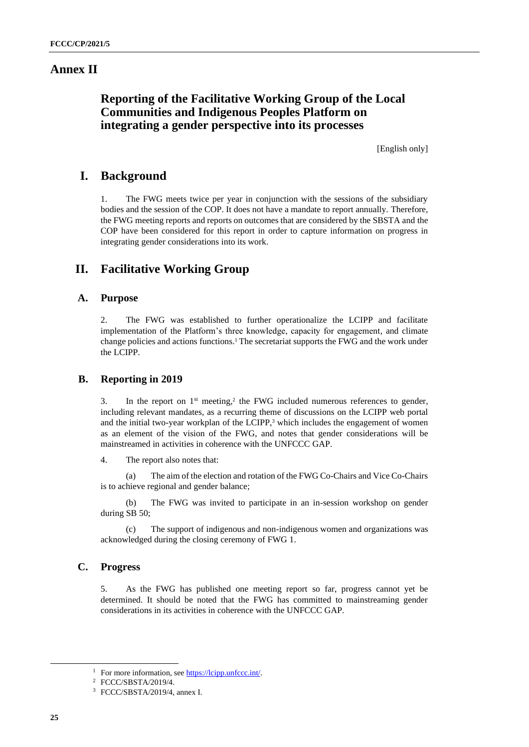## **Annex II**

## **Reporting of the Facilitative Working Group of the Local Communities and Indigenous Peoples Platform on integrating a gender perspective into its processes**

[English only]

## **I. Background**

1. The FWG meets twice per year in conjunction with the sessions of the subsidiary bodies and the session of the COP. It does not have a mandate to report annually. Therefore, the FWG meeting reports and reports on outcomes that are considered by the SBSTA and the COP have been considered for this report in order to capture information on progress in integrating gender considerations into its work.

## **II. Facilitative Working Group**

## **A. Purpose**

2. The FWG was established to further operationalize the LCIPP and facilitate implementation of the Platform's three knowledge, capacity for engagement, and climate change policies and actions functions. <sup>1</sup> The secretariat supports the FWG and the work under the LCIPP.

## **B. Reporting in 2019**

3. In the report on  $1<sup>st</sup>$  meeting,<sup>2</sup> the FWG included numerous references to gender, including relevant mandates, as a recurring theme of discussions on the LCIPP web portal and the initial two-year workplan of the LCIPP, <sup>3</sup> which includes the engagement of women as an element of the vision of the FWG, and notes that gender considerations will be mainstreamed in activities in coherence with the UNFCCC GAP.

4. The report also notes that:

(a) The aim of the election and rotation of the FWG Co-Chairs and Vice Co-Chairs is to achieve regional and gender balance;

(b) The FWG was invited to participate in an in-session workshop on gender during SB 50;

(c) The support of indigenous and non-indigenous women and organizations was acknowledged during the closing ceremony of FWG 1.

## **C. Progress**

5. As the FWG has published one meeting report so far, progress cannot yet be determined. It should be noted that the FWG has committed to mainstreaming gender considerations in its activities in coherence with the UNFCCC GAP.

<sup>&</sup>lt;sup>1</sup> For more information, se[e https://lcipp.unfccc.int/.](https://lcipp.unfccc.int/)

<sup>2</sup> FCCC/SBSTA/2019/4.

<sup>3</sup> FCCC/SBSTA/2019/4, annex I.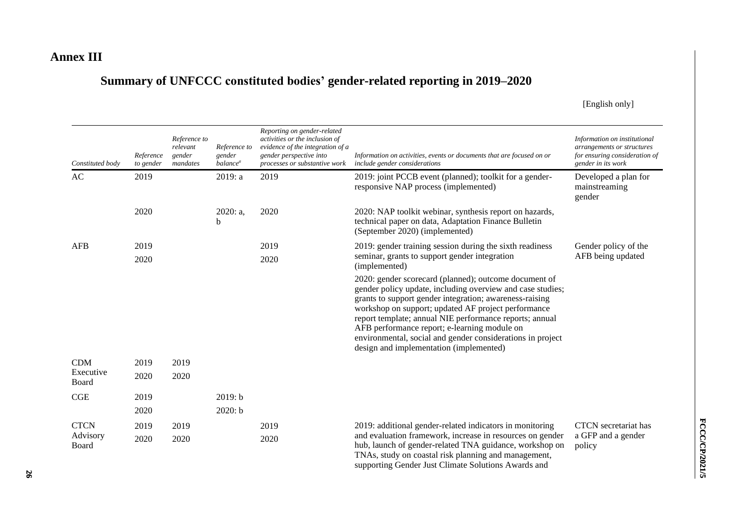## **Annex III**

# **Summary of UNFCCC constituted bodies' gender-related reporting in 2019–2020**

[English only]

| Constituted body   | Reference<br>to gender | Reference to<br>relevant<br>gender<br>mandates | Reference to<br>gender<br><i>balance<sup>a</sup></i> | Reporting on gender-related<br>activities or the inclusion of<br>evidence of the integration of a<br>gender perspective into<br>processes or substantive work | Information on activities, events or documents that are focused on or<br>include gender considerations                                                                                                                                                                                                                                                                                                                                                    | Information on institutional<br>arrangements or structures<br>for ensuring consideration of<br>gender in its work |
|--------------------|------------------------|------------------------------------------------|------------------------------------------------------|---------------------------------------------------------------------------------------------------------------------------------------------------------------|-----------------------------------------------------------------------------------------------------------------------------------------------------------------------------------------------------------------------------------------------------------------------------------------------------------------------------------------------------------------------------------------------------------------------------------------------------------|-------------------------------------------------------------------------------------------------------------------|
| AC                 | 2019                   |                                                | 2019: a                                              | 2019                                                                                                                                                          | 2019: joint PCCB event (planned); toolkit for a gender-<br>responsive NAP process (implemented)                                                                                                                                                                                                                                                                                                                                                           | Developed a plan for<br>mainstreaming<br>gender                                                                   |
|                    | 2020                   |                                                | 2020: a,<br>b                                        | 2020                                                                                                                                                          | 2020: NAP toolkit webinar, synthesis report on hazards,<br>technical paper on data, Adaptation Finance Bulletin<br>(September 2020) (implemented)                                                                                                                                                                                                                                                                                                         |                                                                                                                   |
| <b>AFB</b>         | 2019                   |                                                |                                                      | 2019                                                                                                                                                          | 2019: gender training session during the sixth readiness                                                                                                                                                                                                                                                                                                                                                                                                  | Gender policy of the                                                                                              |
|                    | 2020                   |                                                |                                                      | 2020                                                                                                                                                          | seminar, grants to support gender integration<br>(implemented)                                                                                                                                                                                                                                                                                                                                                                                            | AFB being updated                                                                                                 |
|                    |                        |                                                |                                                      |                                                                                                                                                               | 2020: gender scorecard (planned); outcome document of<br>gender policy update, including overview and case studies;<br>grants to support gender integration; awareness-raising<br>workshop on support; updated AF project performance<br>report template; annual NIE performance reports; annual<br>AFB performance report; e-learning module on<br>environmental, social and gender considerations in project<br>design and implementation (implemented) |                                                                                                                   |
| CDM                | 2019                   | 2019                                           |                                                      |                                                                                                                                                               |                                                                                                                                                                                                                                                                                                                                                                                                                                                           |                                                                                                                   |
| Executive<br>Board | 2020                   | 2020                                           |                                                      |                                                                                                                                                               |                                                                                                                                                                                                                                                                                                                                                                                                                                                           |                                                                                                                   |
| CGE                | 2019                   |                                                | 2019: b                                              |                                                                                                                                                               |                                                                                                                                                                                                                                                                                                                                                                                                                                                           |                                                                                                                   |
|                    | 2020                   |                                                | 2020: b                                              |                                                                                                                                                               |                                                                                                                                                                                                                                                                                                                                                                                                                                                           |                                                                                                                   |
| <b>CTCN</b>        | 2019                   | 2019                                           |                                                      | 2019                                                                                                                                                          | 2019: additional gender-related indicators in monitoring                                                                                                                                                                                                                                                                                                                                                                                                  | CTCN secretariat has                                                                                              |
| Advisory<br>Board  | 2020                   | 2020                                           |                                                      | 2020                                                                                                                                                          | and evaluation framework, increase in resources on gender<br>hub, launch of gender-related TNA guidance, workshop on<br>TNAs, study on coastal risk planning and management,                                                                                                                                                                                                                                                                              | a GFP and a gender<br>policy                                                                                      |

supporting Gender Just Climate Solutions Awards and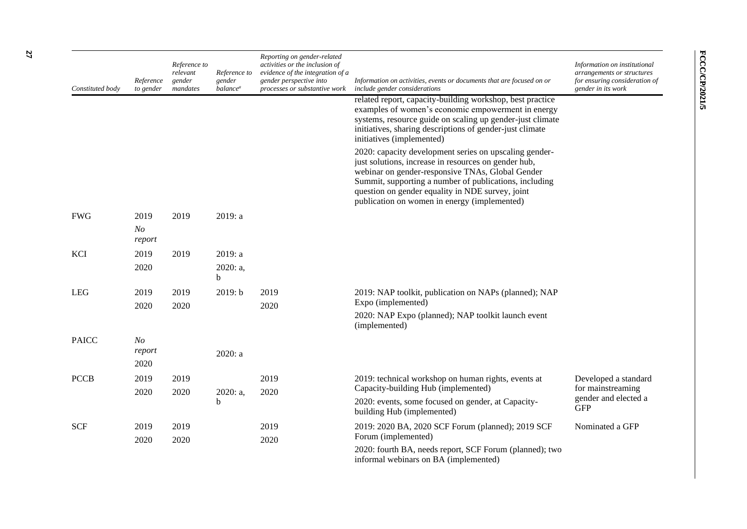| Constituted body | Reference<br>to gender           | Reference to<br>relevant<br>gender<br>mandates | Reference to<br>gender<br><i>balance<sup>a</sup></i> | Reporting on gender-related<br>activities or the inclusion of<br>evidence of the integration of a<br>gender perspective into<br>processes or substantive work | Information on activities, events or documents that are focused on or<br>include gender considerations                                                                                                                                                                                                                           | Information on institutional<br>arrangements or structures<br>for ensuring consideration of<br>gender in its work |
|------------------|----------------------------------|------------------------------------------------|------------------------------------------------------|---------------------------------------------------------------------------------------------------------------------------------------------------------------|----------------------------------------------------------------------------------------------------------------------------------------------------------------------------------------------------------------------------------------------------------------------------------------------------------------------------------|-------------------------------------------------------------------------------------------------------------------|
|                  |                                  |                                                |                                                      |                                                                                                                                                               | related report, capacity-building workshop, best practice<br>examples of women's economic empowerment in energy<br>systems, resource guide on scaling up gender-just climate<br>initiatives, sharing descriptions of gender-just climate<br>initiatives (implemented)                                                            |                                                                                                                   |
|                  |                                  |                                                |                                                      |                                                                                                                                                               | 2020: capacity development series on upscaling gender-<br>just solutions, increase in resources on gender hub,<br>webinar on gender-responsive TNAs, Global Gender<br>Summit, supporting a number of publications, including<br>question on gender equality in NDE survey, joint<br>publication on women in energy (implemented) |                                                                                                                   |
| <b>FWG</b>       | 2019<br>N <sub>O</sub><br>report | 2019                                           | 2019: a                                              |                                                                                                                                                               |                                                                                                                                                                                                                                                                                                                                  |                                                                                                                   |
| KCI              | 2019<br>2020                     | 2019                                           | 2019: a<br>2020: a,<br>b                             |                                                                                                                                                               |                                                                                                                                                                                                                                                                                                                                  |                                                                                                                   |
| <b>LEG</b>       | 2019<br>2020                     | 2019<br>2020                                   | 2019: b                                              | 2019<br>2020                                                                                                                                                  | 2019: NAP toolkit, publication on NAPs (planned); NAP<br>Expo (implemented)<br>2020: NAP Expo (planned); NAP toolkit launch event<br>(implemented)                                                                                                                                                                               |                                                                                                                   |
| <b>PAICC</b>     | N <sub>O</sub><br>report<br>2020 |                                                | 2020: a                                              |                                                                                                                                                               |                                                                                                                                                                                                                                                                                                                                  |                                                                                                                   |
| <b>PCCB</b>      | 2019<br>2020                     | 2019<br>2020                                   | 2020: a,<br>b                                        | 2019<br>2020                                                                                                                                                  | 2019: technical workshop on human rights, events at<br>Capacity-building Hub (implemented)<br>2020: events, some focused on gender, at Capacity-<br>building Hub (implemented)                                                                                                                                                   | Developed a standard<br>for mainstreaming<br>gender and elected a<br><b>GFP</b>                                   |
| <b>SCF</b>       | 2019<br>2020                     | 2019<br>2020                                   |                                                      | 2019<br>2020                                                                                                                                                  | 2019: 2020 BA, 2020 SCF Forum (planned); 2019 SCF<br>Forum (implemented)<br>2020: fourth BA, needs report, SCF Forum (planned); two<br>informal webinars on BA (implemented)                                                                                                                                                     | Nominated a GFP                                                                                                   |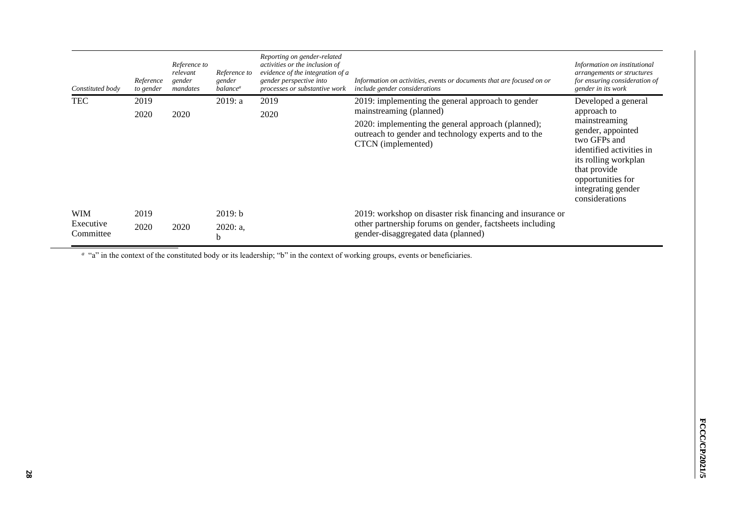| Constituted body                     | Reference<br>to gender | Reference to<br>relevant<br>gender<br>mandates | Reference to<br>gender<br>balance <sup>a</sup> | Reporting on gender-related<br>activities or the inclusion of<br>evidence of the integration of a<br>gender perspective into<br>processes or substantive work | Information on activities, events or documents that are focused on or<br>include gender considerations                                                                                                           | Information on institutional<br>arrangements or structures<br>for ensuring consideration of<br>gender in its work                                                                                                         |
|--------------------------------------|------------------------|------------------------------------------------|------------------------------------------------|---------------------------------------------------------------------------------------------------------------------------------------------------------------|------------------------------------------------------------------------------------------------------------------------------------------------------------------------------------------------------------------|---------------------------------------------------------------------------------------------------------------------------------------------------------------------------------------------------------------------------|
| <b>TEC</b>                           | 2019<br>2020           | 2020                                           | 2019: a                                        | 2019<br>2020                                                                                                                                                  | 2019: implementing the general approach to gender<br>mainstreaming (planned)<br>2020: implementing the general approach (planned);<br>outreach to gender and technology experts and to the<br>CTCN (implemented) | Developed a general<br>approach to<br>mainstreaming<br>gender, appointed<br>two GFPs and<br>identified activities in<br>its rolling workplan<br>that provide<br>opportunities for<br>integrating gender<br>considerations |
| <b>WIM</b><br>Executive<br>Committee | 2019<br>2020           | 2020                                           | 2019: b<br>2020: a,<br>b                       |                                                                                                                                                               | 2019: workshop on disaster risk financing and insurance or<br>other partnership forums on gender, factsheets including<br>gender-disaggregated data (planned)                                                    |                                                                                                                                                                                                                           |

<sup>a</sup> "a" in the context of the constituted body or its leadership; "b" in the context of working groups, events or beneficiaries.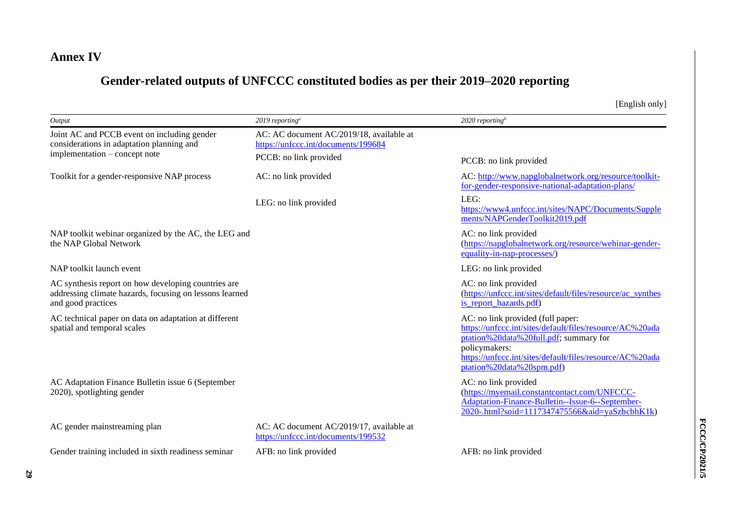# **Annex IV**

# **Gender-related outputs of UNFCCC constituted bodies as per their 2019–2020 reporting**

[English only]

| Output                                                                                                                               | 2019 reporting <sup>a</sup>                                                                               | 2020 reporting <sup>b</sup>                                                                                                                                                                                                                       |
|--------------------------------------------------------------------------------------------------------------------------------------|-----------------------------------------------------------------------------------------------------------|---------------------------------------------------------------------------------------------------------------------------------------------------------------------------------------------------------------------------------------------------|
| Joint AC and PCCB event on including gender<br>considerations in adaptation planning and<br>implementation – concept note            | AC: AC document AC/2019/18, available at<br>https://unfccc.int/documents/199684<br>PCCB: no link provided |                                                                                                                                                                                                                                                   |
|                                                                                                                                      |                                                                                                           | PCCB: no link provided                                                                                                                                                                                                                            |
| Toolkit for a gender-responsive NAP process                                                                                          | AC: no link provided                                                                                      | AC: http://www.napglobalnetwork.org/resource/toolkit-<br>for-gender-responsive-national-adaptation-plans/                                                                                                                                         |
|                                                                                                                                      | LEG: no link provided                                                                                     | LEG:<br>https://www4.unfccc.int/sites/NAPC/Documents/Supple<br>ments/NAPGenderToolkit2019.pdf                                                                                                                                                     |
| NAP toolkit webinar organized by the AC, the LEG and<br>the NAP Global Network                                                       |                                                                                                           | AC: no link provided<br>(https://napglobalnetwork.org/resource/webinar-gender-<br>equality-in-nap-processes/)                                                                                                                                     |
| NAP toolkit launch event                                                                                                             |                                                                                                           | LEG: no link provided                                                                                                                                                                                                                             |
| AC synthesis report on how developing countries are<br>addressing climate hazards, focusing on lessons learned<br>and good practices |                                                                                                           | AC: no link provided<br>(https://unfccc.int/sites/default/files/resource/ac synthes<br>is_report_hazards.pdf)                                                                                                                                     |
| AC technical paper on data on adaptation at different<br>spatial and temporal scales                                                 |                                                                                                           | AC: no link provided (full paper:<br>https://unfccc.int/sites/default/files/resource/AC%20ada<br>ptation%20data%20full.pdf; summary for<br>policymakers:<br>https://unfccc.int/sites/default/files/resource/AC%20ada<br>ptation%20data%20spm.pdf) |
| AC Adaptation Finance Bulletin issue 6 (September<br>2020), spotlighting gender                                                      |                                                                                                           | AC: no link provided<br>(https://myemail.constantcontact.com/UNFCCC-<br>Adaptation-Finance-Bulletin--Issue-6--September-<br>2020-.html?soid=1117347475566&aid=yaSzbcbhK1k)                                                                        |
| AC gender mainstreaming plan                                                                                                         | AC: AC document AC/2019/17, available at<br>https://unfccc.int/documents/199532                           |                                                                                                                                                                                                                                                   |
| Gender training included in sixth readiness seminar                                                                                  | AFB: no link provided                                                                                     | AFB: no link provided                                                                                                                                                                                                                             |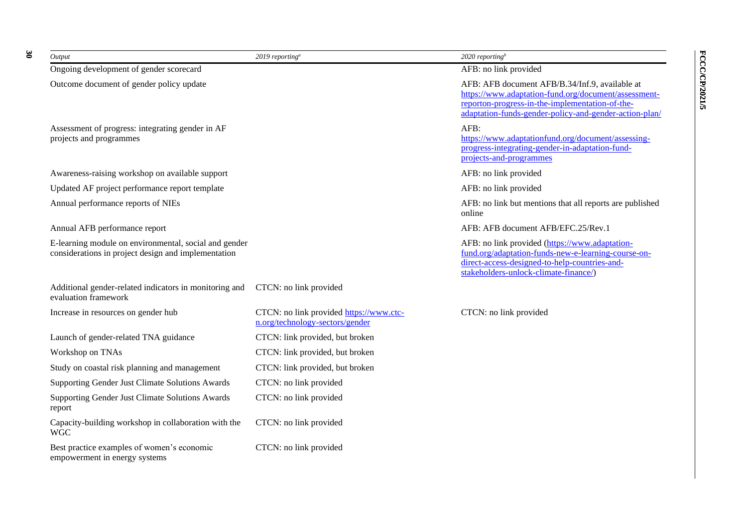| Output                                                                                                       | $2019$ reporting <sup>a</sup>                                              | 2020 reporting <sup>b</sup>                                                                                                                                                                                         |
|--------------------------------------------------------------------------------------------------------------|----------------------------------------------------------------------------|---------------------------------------------------------------------------------------------------------------------------------------------------------------------------------------------------------------------|
| Ongoing development of gender scorecard                                                                      |                                                                            | AFB: no link provided                                                                                                                                                                                               |
| Outcome document of gender policy update                                                                     |                                                                            | AFB: AFB document AFB/B.34/Inf.9, available at<br>https://www.adaptation-fund.org/document/assessment-<br>reporton-progress-in-the-implementation-of-the-<br>adaptation-funds-gender-policy-and-gender-action-plan/ |
| Assessment of progress: integrating gender in AF<br>projects and programmes                                  |                                                                            | AFB:<br>https://www.adaptationfund.org/document/assessing-<br>progress-integrating-gender-in-adaptation-fund-<br>projects-and-programmes                                                                            |
| Awareness-raising workshop on available support                                                              |                                                                            | AFB: no link provided                                                                                                                                                                                               |
| Updated AF project performance report template                                                               |                                                                            | AFB: no link provided                                                                                                                                                                                               |
| Annual performance reports of NIEs                                                                           |                                                                            | AFB: no link but mentions that all reports are published<br>online                                                                                                                                                  |
| Annual AFB performance report                                                                                |                                                                            | AFB: AFB document AFB/EFC.25/Rev.1                                                                                                                                                                                  |
| E-learning module on environmental, social and gender<br>considerations in project design and implementation |                                                                            | AFB: no link provided (https://www.adaptation-<br>fund.org/adaptation-funds-new-e-learning-course-on-<br>direct-access-designed-to-help-countries-and-<br>stakeholders-unlock-climate-finance/)                     |
| Additional gender-related indicators in monitoring and<br>evaluation framework                               | CTCN: no link provided                                                     |                                                                                                                                                                                                                     |
| Increase in resources on gender hub                                                                          | CTCN: no link provided https://www.ctc-<br>n.org/technology-sectors/gender | CTCN: no link provided                                                                                                                                                                                              |
| Launch of gender-related TNA guidance                                                                        | CTCN: link provided, but broken                                            |                                                                                                                                                                                                                     |
| Workshop on TNAs                                                                                             | CTCN: link provided, but broken                                            |                                                                                                                                                                                                                     |
| Study on coastal risk planning and management                                                                | CTCN: link provided, but broken                                            |                                                                                                                                                                                                                     |
| Supporting Gender Just Climate Solutions Awards                                                              | CTCN: no link provided                                                     |                                                                                                                                                                                                                     |
| Supporting Gender Just Climate Solutions Awards<br>report                                                    | CTCN: no link provided                                                     |                                                                                                                                                                                                                     |
| Capacity-building workshop in collaboration with the<br><b>WGC</b>                                           | CTCN: no link provided                                                     |                                                                                                                                                                                                                     |
| Best practice examples of women's economic<br>empowerment in energy systems                                  | CTCN: no link provided                                                     |                                                                                                                                                                                                                     |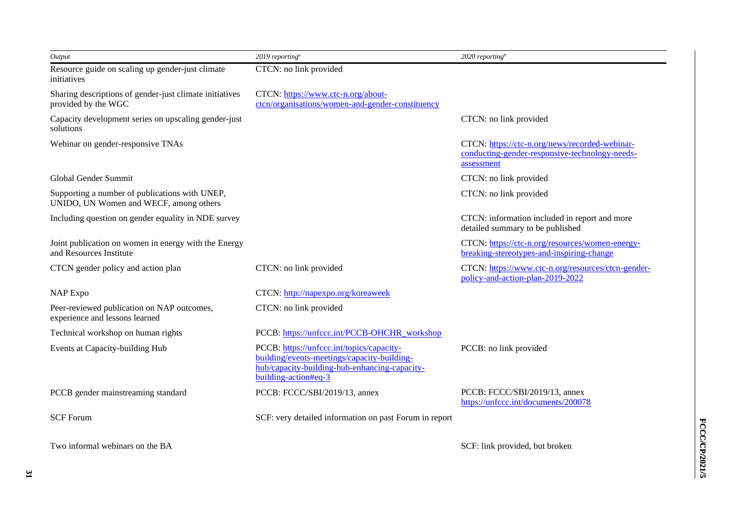| Output                                                                                   | 2019 reporting <sup>a</sup>                                                                                                                                       | 2020 reporting <sup>b</sup>                                                                                    |
|------------------------------------------------------------------------------------------|-------------------------------------------------------------------------------------------------------------------------------------------------------------------|----------------------------------------------------------------------------------------------------------------|
| Resource guide on scaling up gender-just climate<br>initiatives                          | CTCN: no link provided                                                                                                                                            |                                                                                                                |
| Sharing descriptions of gender-just climate initiatives<br>provided by the WGC           | CTCN: https://www.ctc-n.org/about-<br>ctcn/organisations/women-and-gender-constituency                                                                            |                                                                                                                |
| Capacity development series on upscaling gender-just<br>solutions                        |                                                                                                                                                                   | CTCN: no link provided                                                                                         |
| Webinar on gender-responsive TNAs                                                        |                                                                                                                                                                   | CTCN: https://ctc-n.org/news/recorded-webinar-<br>conducting-gender-responsive-technology-needs-<br>assessment |
| Global Gender Summit                                                                     |                                                                                                                                                                   | CTCN: no link provided                                                                                         |
| Supporting a number of publications with UNEP,<br>UNIDO, UN Women and WECF, among others |                                                                                                                                                                   | CTCN: no link provided                                                                                         |
| Including question on gender equality in NDE survey                                      |                                                                                                                                                                   | CTCN: information included in report and more<br>detailed summary to be published                              |
| Joint publication on women in energy with the Energy<br>and Resources Institute          |                                                                                                                                                                   | CTCN: https://ctc-n.org/resources/women-energy-<br>breaking-stereotypes-and-inspiring-change                   |
| CTCN gender policy and action plan                                                       | CTCN: no link provided                                                                                                                                            | CTCN: https://www.ctc-n.org/resources/ctcn-gender-<br>policy-and-action-plan-2019-2022                         |
| <b>NAP Expo</b>                                                                          | CTCN: http://napexpo.org/koreaweek                                                                                                                                |                                                                                                                |
| Peer-reviewed publication on NAP outcomes,<br>experience and lessons learned             | CTCN: no link provided                                                                                                                                            |                                                                                                                |
| Technical workshop on human rights                                                       | PCCB: https://unfccc.int/PCCB-OHCHR workshop                                                                                                                      |                                                                                                                |
| Events at Capacity-building Hub                                                          | PCCB: https://unfccc.int/topics/capacity-<br>building/events-meetings/capacity-building-<br>hub/capacity-building-hub-enhancing-capacity-<br>building-action#eq-3 | PCCB: no link provided                                                                                         |
| PCCB gender mainstreaming standard                                                       | PCCB: FCCC/SBI/2019/13, annex                                                                                                                                     | PCCB: FCCC/SBI/2019/13, annex<br>https://unfccc.int/documents/200078                                           |
| <b>SCF Forum</b>                                                                         | SCF: very detailed information on past Forum in report                                                                                                            |                                                                                                                |
| Two informal webinars on the BA                                                          |                                                                                                                                                                   | SCF: link provided, but broken                                                                                 |

**FCCC/CP/2021/5 FCCC/CP/2021/5**